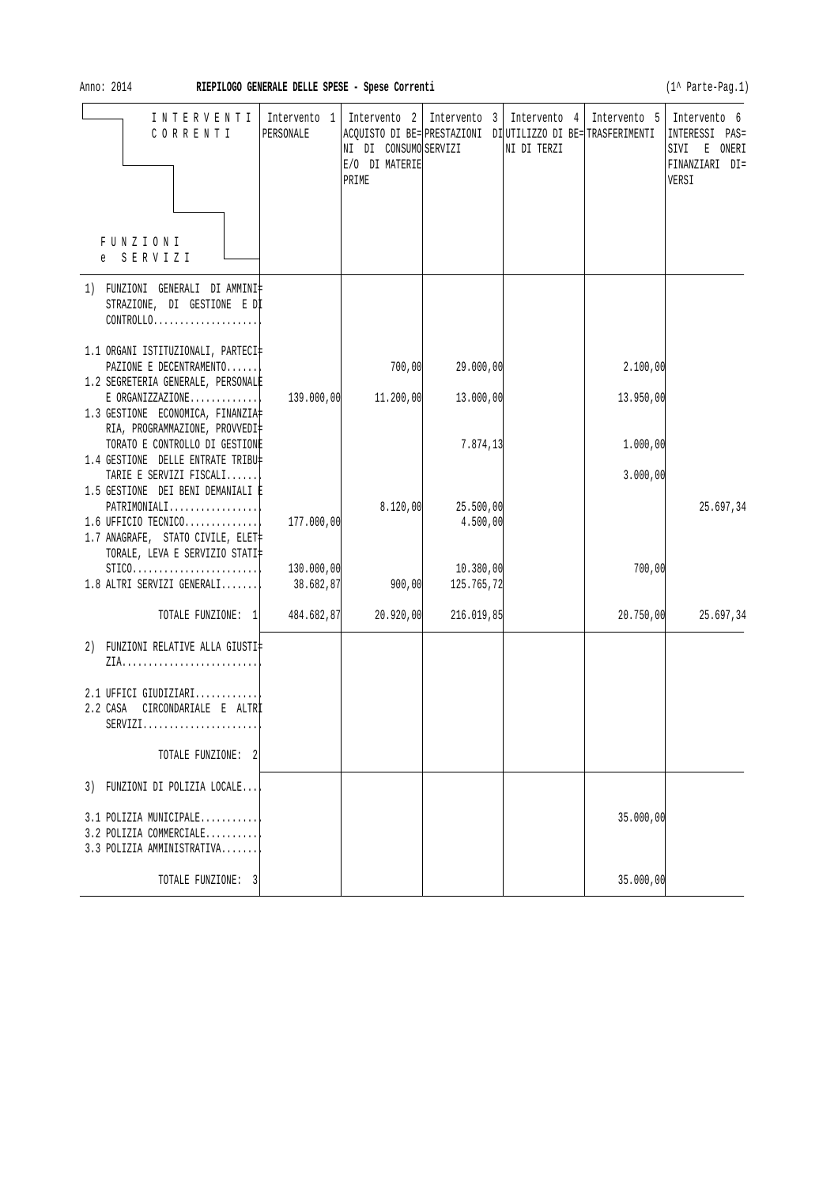Anno: 2014 **RIEPILOGO GENERALE DELLE SPESE - Spese Correnti Contract and Contract Contract Contract Contract Contract Contract Contract Contract Contract Contract Contract Contract Contract Contract Contract Contract Con** 

| INTERVENTI<br>CORRENTI                                                                                               | PERSONALE               | NI DI CONSUMO SERVIZI<br>E/O DI MATERIE<br>PRIME | Intervento 1   Intervento 2   Intervento 3   Intervento 4  <br>ACQUISTO DI BE= PRESTAZIONI DI UTILIZZO DI BE= TRASFERIMENTI | NI DI TERZI |           | Intervento 5   Intervento 6<br>INTERESSI PAS=<br>E ONERI<br>SIVI<br>FINANZIARI DI=<br>VERSI |
|----------------------------------------------------------------------------------------------------------------------|-------------------------|--------------------------------------------------|-----------------------------------------------------------------------------------------------------------------------------|-------------|-----------|---------------------------------------------------------------------------------------------|
| FUNZIONI<br>e SERVIZI                                                                                                |                         |                                                  |                                                                                                                             |             |           |                                                                                             |
| 1) FUNZIONI GENERALI DI AMMINI‡<br>STRAZIONE, DI GESTIONE E DI<br>$CONTROLLO. \ldots \ldots \ldots \ldots \ldots$    |                         |                                                  |                                                                                                                             |             |           |                                                                                             |
| 1.1 ORGANI ISTITUZIONALI, PARTECI‡<br>PAZIONE E DECENTRAMENTO<br>1.2 SEGRETERIA GENERALE, PERSONALE                  |                         | 700,00                                           | 29.000,00                                                                                                                   |             | 2.100,00  |                                                                                             |
| $E$ ORGANIZZAZIONE<br>1.3 GESTIONE ECONOMICA, FINANZIA                                                               | 139.000,00              | 11.200,00                                        | 13.000,00                                                                                                                   |             | 13.950,00 |                                                                                             |
| RIA, PROGRAMMAZIONE, PROVVEDI‡<br>TORATO E CONTROLLO DI GESTIONE<br>1.4 GESTIONE DELLE ENTRATE TRIBU‡                |                         |                                                  | 7.874,13                                                                                                                    |             | 1.000,00  |                                                                                             |
| TARIE E SERVIZI FISCALI<br>1.5 GESTIONE DEI BENI DEMANIALI È                                                         |                         |                                                  |                                                                                                                             |             | 3.000,00  |                                                                                             |
| $\mathtt{PATHIMONIALI}$<br>1.6 UFFICIO TECNICO<br>1.7 ANAGRAFE, STATO CIVILE, ELET<br>TORALE, LEVA E SERVIZIO STATI‡ | 177.000,00              | 8.120,00                                         | 25.500,00<br>4.500,00                                                                                                       |             |           | 25.697,34                                                                                   |
| $STICO.$<br>1.8 ALTRI SERVIZI GENERALI                                                                               | 130.000,00<br>38.682,87 | 900,00                                           | 10.380,00<br>125.765,72                                                                                                     |             | 700,00    |                                                                                             |
| TOTALE FUNZIONE: 1                                                                                                   | 484.682,87              | 20.920,00                                        | 216.019,85                                                                                                                  |             | 20.750,00 | 25.697,34                                                                                   |
| 2) FUNZIONI RELATIVE ALLA GIUSTI‡                                                                                    |                         |                                                  |                                                                                                                             |             |           |                                                                                             |
| 2.1 UFFICI GIUDIZIARI<br>CIRCONDARIALE E ALTRI<br>2.2 CASA<br>$SERVIZI.$                                             |                         |                                                  |                                                                                                                             |             |           |                                                                                             |
| TOTALE FUNZIONE: 2                                                                                                   |                         |                                                  |                                                                                                                             |             |           |                                                                                             |
| 3) FUNZIONI DI POLIZIA LOCALE                                                                                        |                         |                                                  |                                                                                                                             |             |           |                                                                                             |
| 3.1 POLIZIA MUNICIPALE<br>3.2 POLIZIA COMMERCIALE<br>3.3 POLIZIA AMMINISTRATIVA                                      |                         |                                                  |                                                                                                                             |             | 35.000,00 |                                                                                             |
| TOTALE FUNZIONE: 3                                                                                                   |                         |                                                  |                                                                                                                             |             | 35.000,00 |                                                                                             |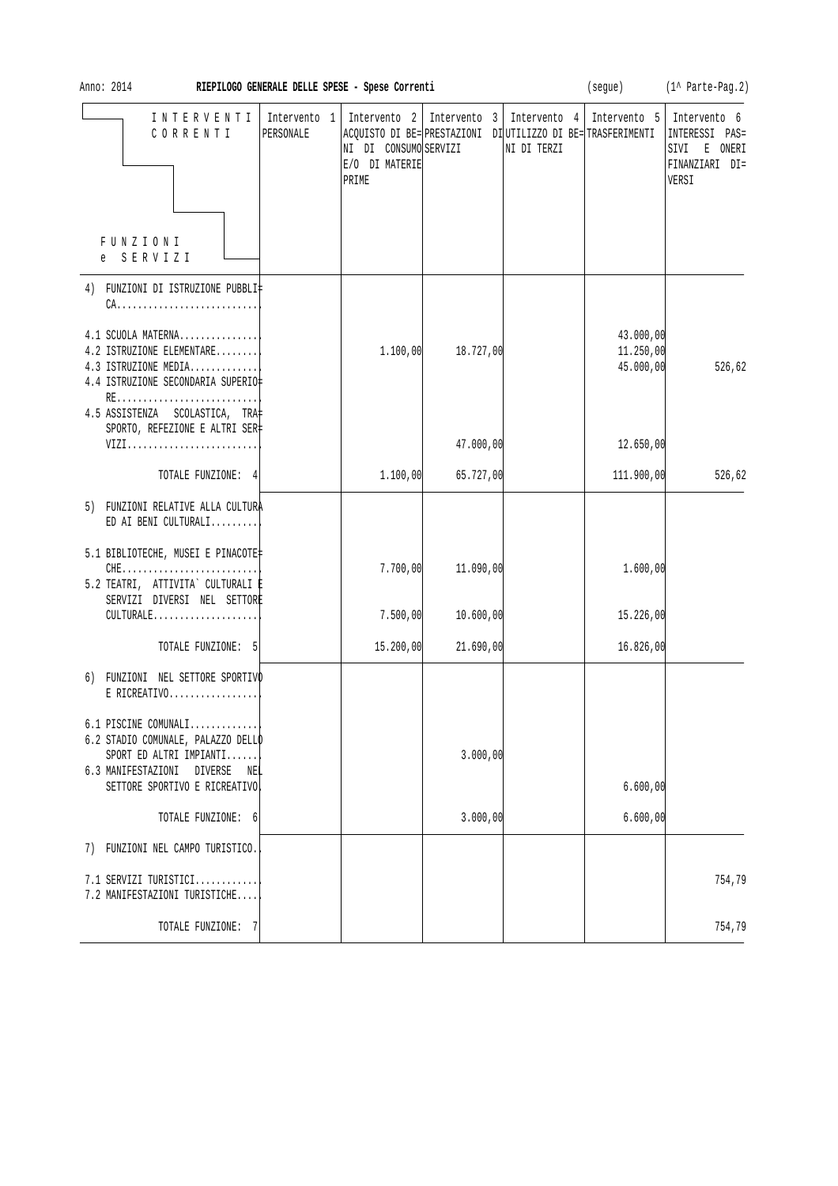| Ann<br>٦ |  |
|----------|--|
|----------|--|

Anno: 2014 **RIEPILOGO GENERALE DELLE SPESE - Spese Correnti** (segue) (1^ Parte-Pag.2)

| INTERVENTI<br>CORRENTI                                                                                                                          | Intervento 1<br>PERSONALE | NI DI CONSUMO SERVIZI<br>E/O DI MATERIE<br>PRIME | Intervento 2   Intervento 3   Intervento 4  <br>ACQUISTO DI BE= PRESTAZIONI DI UTILIZZO DI BE= TRASFERIMENTI | NI DI TERZI | Intervento 5   Intervento 6         | INTERESSI PAS=<br>SIVI<br>E ONERI<br>FINANZIARI DI=<br>VERSI |
|-------------------------------------------------------------------------------------------------------------------------------------------------|---------------------------|--------------------------------------------------|--------------------------------------------------------------------------------------------------------------|-------------|-------------------------------------|--------------------------------------------------------------|
| FUNZIONI<br>e SERVIZI                                                                                                                           |                           |                                                  |                                                                                                              |             |                                     |                                                              |
| 4) FUNZIONI DI ISTRUZIONE PUBBLI‡<br>$CA.$                                                                                                      |                           |                                                  |                                                                                                              |             |                                     |                                                              |
| 4.1 SCUOLA MATERNA<br>4.2 ISTRUZIONE ELEMENTARE<br>4.3 ISTRUZIONE MEDIA<br>4.4 ISTRUZIONE SECONDARIA SUPERIO‡<br>4.5 ASSISTENZA SCOLASTICA, TRA |                           | 1.100,00                                         | 18.727,00                                                                                                    |             | 43.000,00<br>11.250,00<br>45.000,00 | 526,62                                                       |
| SPORTO, REFEZIONE E ALTRI SER‡<br>VIZI                                                                                                          |                           |                                                  | 47.000,00                                                                                                    |             | 12.650,00                           |                                                              |
| TOTALE FUNZIONE: 4                                                                                                                              |                           | 1.100,00                                         | 65.727,00                                                                                                    |             | 111.900,00                          | 526,62                                                       |
| 5) FUNZIONI RELATIVE ALLA CULTURA<br>ED AI BENI CULTURALI                                                                                       |                           |                                                  |                                                                                                              |             |                                     |                                                              |
| 5.1 BIBLIOTECHE, MUSEI E PINACOTE‡<br>$CHE$<br>5.2 TEATRI, ATTIVITA` CULTURALI E<br>SERVIZI DIVERSI NEL SETTORE                                 |                           | 7.700,00                                         | 11.090,00                                                                                                    |             | 1.600,00                            |                                                              |
| CULTURALE                                                                                                                                       |                           | 7.500,00                                         | 10.600,00                                                                                                    |             | 15.226,00                           |                                                              |
| TOTALE FUNZIONE: 5                                                                                                                              |                           | 15.200,00                                        | 21.690,00                                                                                                    |             | 16.826,00                           |                                                              |
| 6) FUNZIONI NEL SETTORE SPORTIVO<br>$E$ RICREATIVO                                                                                              |                           |                                                  |                                                                                                              |             |                                     |                                                              |
| 6.1 PISCINE COMUNALI<br>6.2 STADIO COMUNALE, PALAZZO DELLO<br>SPORT ED ALTRI IMPIANTI<br>6.3 MANIFESTAZIONI<br>DIVERSE<br>NEL                   |                           |                                                  | 3.000,00                                                                                                     |             |                                     |                                                              |
| SETTORE SPORTIVO E RICREATIVO                                                                                                                   |                           |                                                  |                                                                                                              |             | 6.600,00                            |                                                              |
| TOTALE FUNZIONE: 6                                                                                                                              |                           |                                                  | 3.000,00                                                                                                     |             | 6.600,00                            |                                                              |
| 7) FUNZIONI NEL CAMPO TURISTICO.                                                                                                                |                           |                                                  |                                                                                                              |             |                                     |                                                              |
| 7.1 SERVIZI TURISTICI<br>7.2 MANIFESTAZIONI TURISTICHE                                                                                          |                           |                                                  |                                                                                                              |             |                                     | 754,79                                                       |
| TOTALE FUNZIONE:<br>- 7                                                                                                                         |                           |                                                  |                                                                                                              |             |                                     | 754,79                                                       |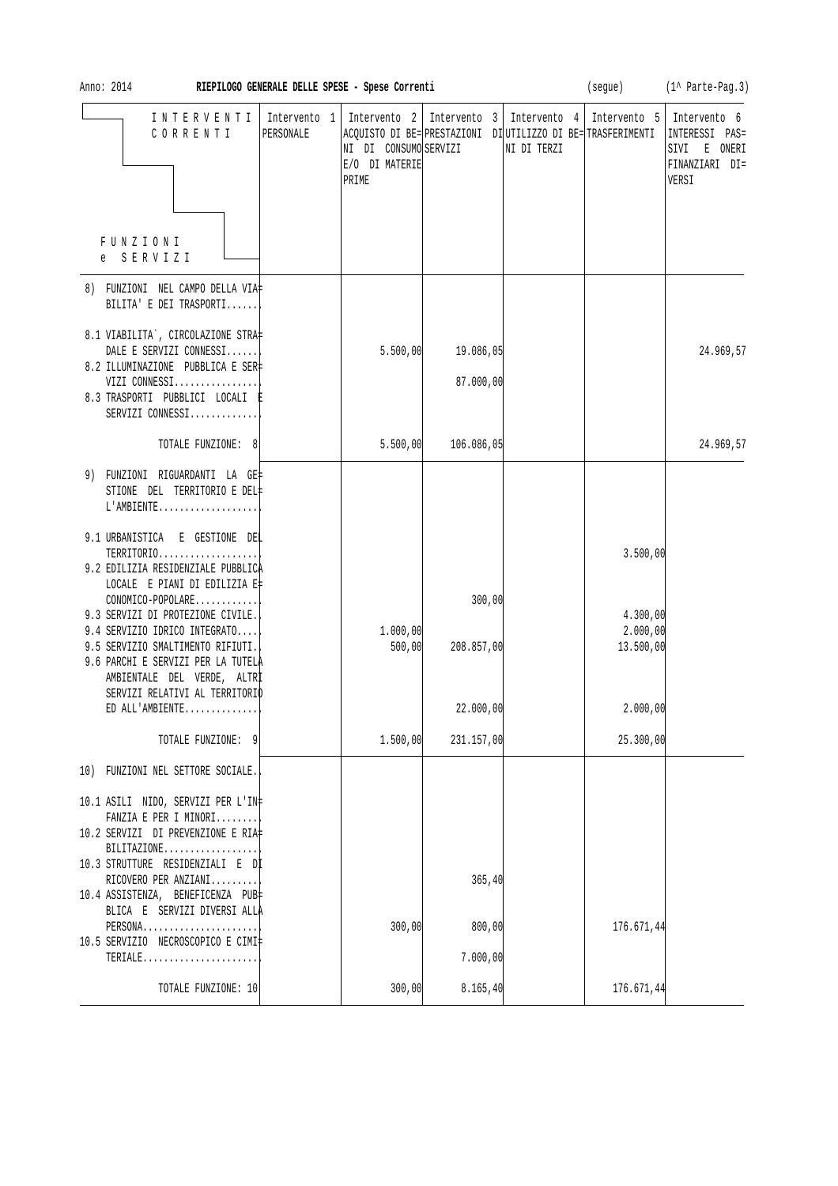| 201<br>Anno |  |
|-------------|--|
|-------------|--|

| INTERVENTI<br>CORRENTI                                                                                                                                                                                                             | Intervento 1<br>PERSONALE | NI DI CONSUMO SERVIZI<br>E/O DI MATERIE<br>PRIME |                      | Intervento 2   Intervento 3   Intervento 4  <br>ACQUISTO DI BE= PRESTAZIONI DI UTILIZZO DI BE= TRASFERIMENTI<br>NI DI TERZI | Intervento 5                      | Intervento 6<br>INTERESSI<br>$PAS =$<br>SIVI E ONERI<br>FINANZIARI DI=<br>VERSI |
|------------------------------------------------------------------------------------------------------------------------------------------------------------------------------------------------------------------------------------|---------------------------|--------------------------------------------------|----------------------|-----------------------------------------------------------------------------------------------------------------------------|-----------------------------------|---------------------------------------------------------------------------------|
| FUNZIONI<br>e SERVIZI                                                                                                                                                                                                              |                           |                                                  |                      |                                                                                                                             |                                   |                                                                                 |
| 8) FUNZIONI NEL CAMPO DELLA VIA‡<br>BILITA' E DEI TRASPORTI                                                                                                                                                                        |                           |                                                  |                      |                                                                                                                             |                                   |                                                                                 |
| 8.1 VIABILITA`, CIRCOLAZIONE STRA‡<br>DALE E SERVIZI CONNESSI                                                                                                                                                                      |                           | 5.500,00                                         | 19.086,05            |                                                                                                                             |                                   | 24.969,57                                                                       |
| 8.2 ILLUMINAZIONE PUBBLICA E SER‡<br>VIZI CONNESSI<br>8.3 TRASPORTI PUBBLICI LOCALI E<br>SERVIZI CONNESSI                                                                                                                          |                           |                                                  | 87.000,00            |                                                                                                                             |                                   |                                                                                 |
| TOTALE FUNZIONE: 8                                                                                                                                                                                                                 |                           | 5.500,00                                         | 106.086,05           |                                                                                                                             |                                   | 24.969,57                                                                       |
| 9) FUNZIONI RIGUARDANTI LA GE‡<br>STIONE DEL TERRITORIO E DEL#<br>$L'AMBIENTER$                                                                                                                                                    |                           |                                                  |                      |                                                                                                                             |                                   |                                                                                 |
| 9.1 URBANISTICA E GESTIONE DEL<br>TERRITORIO<br>9.2 EDILIZIA RESIDENZIALE PUBBLICA                                                                                                                                                 |                           |                                                  |                      |                                                                                                                             | 3.500,00                          |                                                                                 |
| LOCALE E PIANI DI EDILIZIA E‡<br>CONOMICO-POPOLARE<br>9.3 SERVIZI DI PROTEZIONE CIVILE.<br>9.4 SERVIZIO IDRICO INTEGRATO<br>9.5 SERVIZIO SMALTIMENTO RIFIUTI.<br>9.6 PARCHI E SERVIZI PER LA TUTELA<br>AMBIENTALE DEL VERDE, ALTRI |                           | 1.000,00<br>500,00                               | 300,00<br>208.857,00 |                                                                                                                             | 4.300,00<br>2.000,00<br>13.500,00 |                                                                                 |
| SERVIZI RELATIVI AL TERRITORIO<br>ED ALL'AMBIENTE                                                                                                                                                                                  |                           |                                                  | 22.000,00            |                                                                                                                             | 2.000,00                          |                                                                                 |
| TOTALE FUNZIONE: 9                                                                                                                                                                                                                 |                           | 1.500,00                                         | 231.157,00           |                                                                                                                             | 25.300,00                         |                                                                                 |
| 10) FUNZIONI NEL SETTORE SOCIALE.                                                                                                                                                                                                  |                           |                                                  |                      |                                                                                                                             |                                   |                                                                                 |
| 10.1 ASILI NIDO, SERVIZI PER L'IN‡<br>FANZIA E PER I MINORI<br>10.2 SERVIZI DI PREVENZIONE E RIA‡                                                                                                                                  |                           |                                                  |                      |                                                                                                                             |                                   |                                                                                 |
| BILITAZIONE<br>10.3 STRUTTURE RESIDENZIALI E Dİ                                                                                                                                                                                    |                           |                                                  |                      |                                                                                                                             |                                   |                                                                                 |
| RICOVERO PER ANZIANI<br>10.4 ASSISTENZA, BENEFICENZA PUB<br>BLICA E SERVIZI DIVERSI ALLA                                                                                                                                           |                           |                                                  | 365,40               |                                                                                                                             |                                   |                                                                                 |
| PERSONA<br>10.5 SERVIZIO NECROSCOPICO E CIMI‡                                                                                                                                                                                      |                           | 300,00                                           | 800,00               |                                                                                                                             | 176.671,44                        |                                                                                 |
| TERIALE                                                                                                                                                                                                                            |                           |                                                  | 7.000,00             |                                                                                                                             |                                   |                                                                                 |
| TOTALE FUNZIONE: 10                                                                                                                                                                                                                |                           | 300,00                                           | 8.165, 40            |                                                                                                                             | 176.671,44                        |                                                                                 |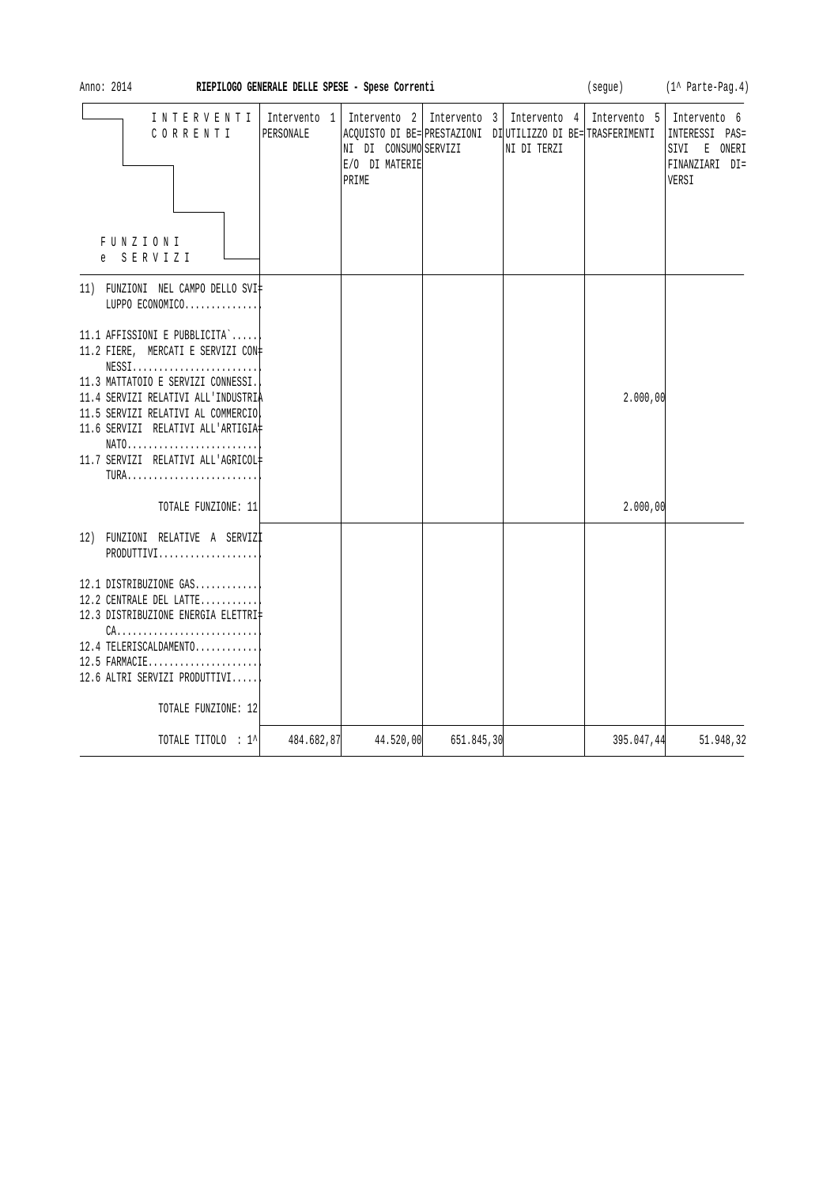| Anno: 2014                                                                                                                                                                                                                                                                                                                                     | RIEPILOGO GENERALE DELLE SPESE - Spese Correnti |                                                  |                             |                                                                                             | (segue)      | (1^ Parte-Pag.4)                                                          |
|------------------------------------------------------------------------------------------------------------------------------------------------------------------------------------------------------------------------------------------------------------------------------------------------------------------------------------------------|-------------------------------------------------|--------------------------------------------------|-----------------------------|---------------------------------------------------------------------------------------------|--------------|---------------------------------------------------------------------------|
| INTERVENTI<br>CORRENTI<br>FUNZIONI<br>SERVIZI<br>$e -$                                                                                                                                                                                                                                                                                         | Intervento 1<br>PERSONALE                       | NI DI CONSUMO SERVIZI<br>E/O DI MATERIE<br>PRIME | Intervento 2   Intervento 3 | Intervento 4<br>ACOUISTO DI BE= PRESTAZIONI DI UTILIZZO DI BE= TRASFERIMENTI<br>NI DI TERZI | Intervento 5 | Intervento 6<br>INTERESSI PAS=<br>SIVI E ONERI<br>FINANZIARI DI=<br>VERSI |
| 11) FUNZIONI NEL CAMPO DELLO SVI‡<br>LUPPO ECONOMICO                                                                                                                                                                                                                                                                                           |                                                 |                                                  |                             |                                                                                             |              |                                                                           |
| 11.1 AFFISSIONI E PUBBLICITA`<br>11.2 FIERE, MERCATI E SERVIZI CON‡<br>$NESS1, \ldots, \ldots, \ldots, \ldots, \ldots, \ldots,$<br>11.3 MATTATOIO E SERVIZI CONNESSI.<br>11.4 SERVIZI RELATIVI ALL'INDUSTRIA<br>11.5 SERVIZI RELATIVI AL COMMERCIO<br>11.6 SERVIZI RELATIVI ALL'ARTIGIA#<br>NATO<br>11.7 SERVIZI RELATIVI ALL'AGRICOL#<br>TURA |                                                 |                                                  |                             |                                                                                             | 2.000,00     |                                                                           |
| TOTALE FUNZIONE: 11                                                                                                                                                                                                                                                                                                                            |                                                 |                                                  |                             |                                                                                             | 2.000,00     |                                                                           |
| 12) FUNZIONI RELATIVE A SERVIZI<br>PRODUTTIVI<br>12.1 DISTRIBUZIONE GAS<br>12.2 CENTRALE DEL LATTE<br>12.3 DISTRIBUZIONE ENERGIA ELETTRI<br>12.4 TELERISCALDAMENTO<br>12.5 FARMACIE<br>12.6 ALTRI SERVIZI PRODUTTIVI<br>TOTALE FUNZIONE: 12                                                                                                    |                                                 |                                                  |                             |                                                                                             |              |                                                                           |
| TOTALE TITOLO : 1^                                                                                                                                                                                                                                                                                                                             | 484.682,87                                      | 44.520,00                                        | 651.845,30                  |                                                                                             | 395.047,44   | 51.948,32                                                                 |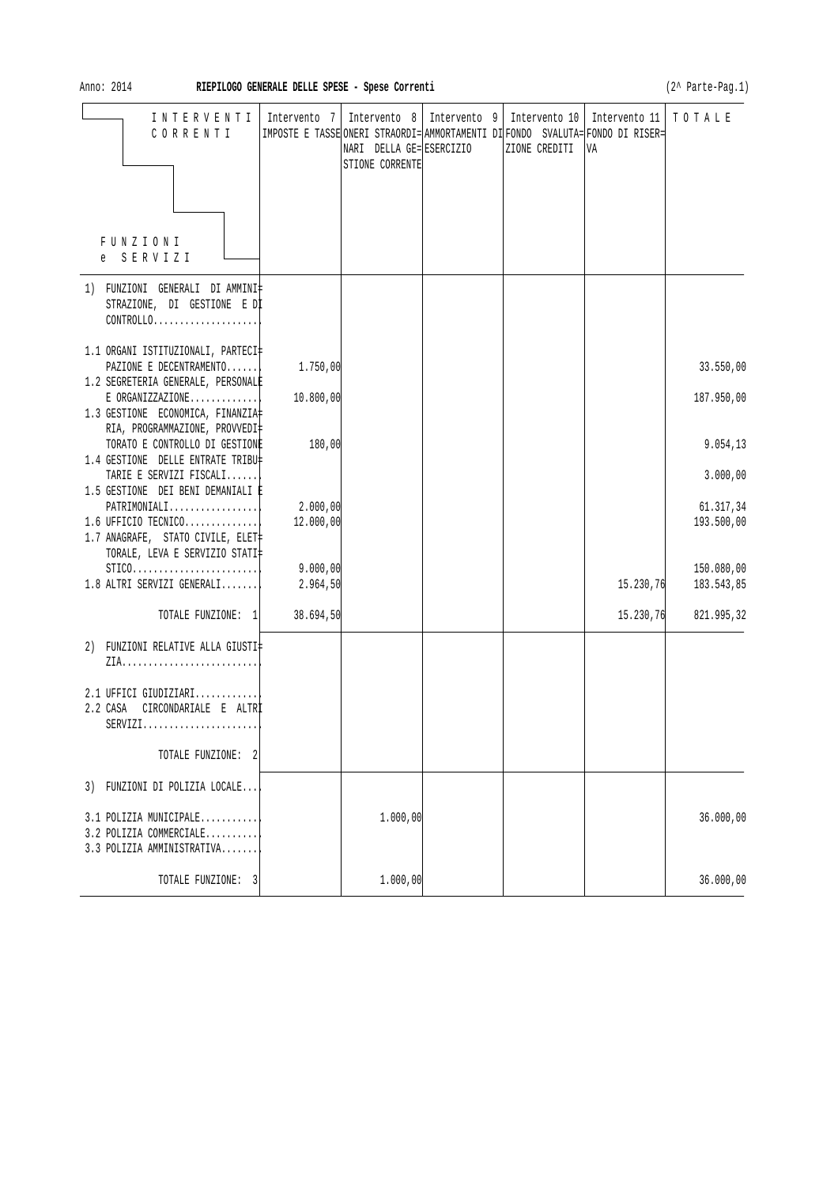| INTERVENTI<br>CORRENTI                                                                                                                              |                       | NARI DELLA GE= ESERCIZIO<br>STIONE CORRENTE | Intervento 7   Intervento 8   Intervento 9   Intervento 10   Intervento 11   T O T A L E<br>IMPOSTE E TASSE ONERI STRAORDI= AMMORTAMENTI DI FONDO SVALUTA= FONDO DI RISER=<br>ZIONE CREDITI | VA        |                          |
|-----------------------------------------------------------------------------------------------------------------------------------------------------|-----------------------|---------------------------------------------|---------------------------------------------------------------------------------------------------------------------------------------------------------------------------------------------|-----------|--------------------------|
|                                                                                                                                                     |                       |                                             |                                                                                                                                                                                             |           |                          |
| FUNZIONI<br>e SERVIZI                                                                                                                               |                       |                                             |                                                                                                                                                                                             |           |                          |
| 1) FUNZIONI GENERALI DI AMMINI‡<br>STRAZIONE, DI GESTIONE E DI<br>$CONTROLLO. \ldots \ldots \ldots \ldots \ldots$                                   |                       |                                             |                                                                                                                                                                                             |           |                          |
| 1.1 ORGANI ISTITUZIONALI, PARTECI‡<br>PAZIONE E DECENTRAMENTO                                                                                       | 1.750,00              |                                             |                                                                                                                                                                                             |           | 33.550,00                |
| 1.2 SEGRETERIA GENERALE, PERSONALE<br>$E$ ORGANIZZAZIONE<br>1.3 GESTIONE ECONOMICA, FINANZIA                                                        | 10.800,00             |                                             |                                                                                                                                                                                             |           | 187.950,00               |
| RIA, PROGRAMMAZIONE, PROVVEDI‡<br>TORATO E CONTROLLO DI GESTIONE<br>1.4 GESTIONE DELLE ENTRATE TRIBU‡                                               | 180,00                |                                             |                                                                                                                                                                                             |           | 9.054, 13                |
| TARIE E SERVIZI FISCALI                                                                                                                             |                       |                                             |                                                                                                                                                                                             |           | 3.000,00                 |
| 1.5 GESTIONE DEI BENI DEMANIALI È<br>$PATHIMONIALI.$<br>$1.6$ UFFICIO TECNICO<br>1.7 ANAGRAFE, STATO CIVILE, ELET<br>TORALE, LEVA E SERVIZIO STATI‡ | 2.000,00<br>12.000,00 |                                             |                                                                                                                                                                                             |           | 61.317,34<br>193.500,00  |
| $STICO.$<br>$1.8$ ALTRI SERVIZI GENERALI                                                                                                            | 9.000,00<br>2.964,50  |                                             |                                                                                                                                                                                             | 15.230,76 | 150.080,00<br>183.543,85 |
| TOTALE FUNZIONE: 1                                                                                                                                  | 38.694,50             |                                             |                                                                                                                                                                                             | 15.230,76 | 821.995,32               |
| 2) FUNZIONI RELATIVE ALLA GIUSTI‡                                                                                                                   |                       |                                             |                                                                                                                                                                                             |           |                          |
| 2.1 UFFICI GIUDIZIARI<br>CIRCONDARIALE E ALTRÌ<br>2.2 CASA<br>$SERVIZI.$                                                                            |                       |                                             |                                                                                                                                                                                             |           |                          |
| TOTALE FUNZIONE: 2                                                                                                                                  |                       |                                             |                                                                                                                                                                                             |           |                          |
| 3) FUNZIONI DI POLIZIA LOCALE                                                                                                                       |                       |                                             |                                                                                                                                                                                             |           |                          |
| 3.1 POLIZIA MUNICIPALE<br>3.2 POLIZIA COMMERCIALE<br>3.3 POLIZIA AMMINISTRATIVA                                                                     |                       | 1.000,00                                    |                                                                                                                                                                                             |           | 36.000,00                |
| TOTALE FUNZIONE: 3                                                                                                                                  |                       | 1.000,00                                    |                                                                                                                                                                                             |           | 36.000,00                |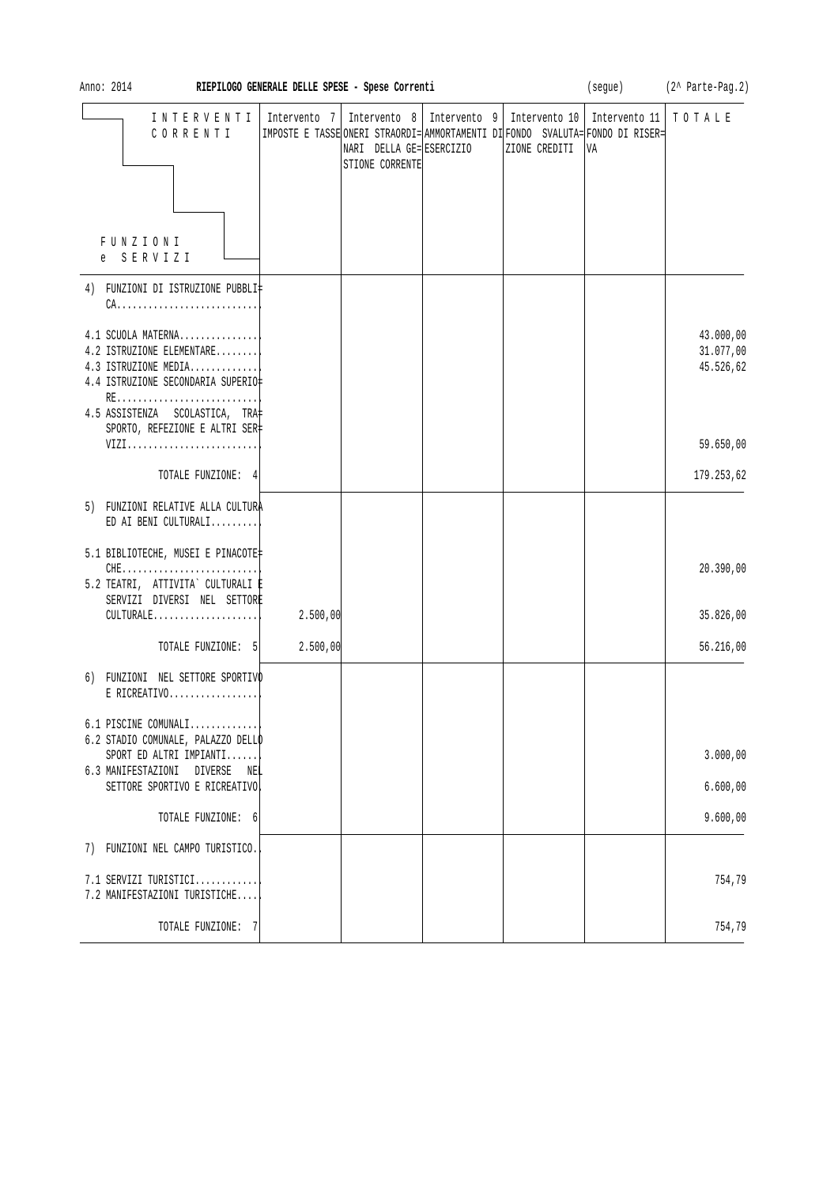| Anno: 2014<br>RIEPILOGO GENERALE DELLE SPESE - Spese Correnti                                                       |          |                                             |  |                                                                                                                                                   | (segue) (2^ Parte-Pag.2) |                                     |  |
|---------------------------------------------------------------------------------------------------------------------|----------|---------------------------------------------|--|---------------------------------------------------------------------------------------------------------------------------------------------------|--------------------------|-------------------------------------|--|
| INTERVENTI   Intervento 7<br>CORRENTI                                                                               |          | NARI DELLA GE= ESERCIZIO<br>STIONE CORRENTE |  | Intervento 8   Intervento 9   Intervento 10  <br> IMPOSTE E TASSE ONERI STRAORDI= AMMORTAMENTI DI FONDO SVALUTA= FONDO DI RISER=<br>ZIONE CREDITI | Intervento 11<br>VA      | TOTALE                              |  |
|                                                                                                                     |          |                                             |  |                                                                                                                                                   |                          |                                     |  |
| FUNZIONI<br>SERVIZI<br>e                                                                                            |          |                                             |  |                                                                                                                                                   |                          |                                     |  |
| 4) FUNZIONI DI ISTRUZIONE PUBBLI‡<br>$CA.$                                                                          |          |                                             |  |                                                                                                                                                   |                          |                                     |  |
| 4.1 SCUOLA MATERNA<br>4.2 ISTRUZIONE ELEMENTARE<br>4.3 ISTRUZIONE MEDIA<br>4.4 ISTRUZIONE SECONDARIA SUPERIO‡<br>RE |          |                                             |  |                                                                                                                                                   |                          | 43.000,00<br>31.077,00<br>45.526,62 |  |
| 4.5 ASSISTENZA SCOLASTICA, TRA<br>SPORTO, REFEZIONE E ALTRI SER‡                                                    |          |                                             |  |                                                                                                                                                   |                          |                                     |  |
| VIZI                                                                                                                |          |                                             |  |                                                                                                                                                   |                          | 59.650,00                           |  |
| TOTALE FUNZIONE: 4                                                                                                  |          |                                             |  |                                                                                                                                                   |                          | 179.253,62                          |  |
| 5) FUNZIONI RELATIVE ALLA CULTURA<br>ED AI BENI CULTURALI                                                           |          |                                             |  |                                                                                                                                                   |                          |                                     |  |
| 5.1 BIBLIOTECHE, MUSEI E PINACOTE‡                                                                                  |          |                                             |  |                                                                                                                                                   |                          |                                     |  |
| $CHE$<br>5.2 TEATRI, ATTIVITA` CULTURALI E<br>SERVIZI DIVERSI NEL SETTORE                                           |          |                                             |  |                                                                                                                                                   |                          | 20.390,00                           |  |
| $CULTURALE$                                                                                                         | 2.500,00 |                                             |  |                                                                                                                                                   |                          | 35.826,00                           |  |
| TOTALE FUNZIONE: 5                                                                                                  | 2.500,00 |                                             |  |                                                                                                                                                   |                          | 56.216,00                           |  |
| 6) FUNZIONI NEL SETTORE SPORTIVO<br>E RICREATIVO                                                                    |          |                                             |  |                                                                                                                                                   |                          |                                     |  |
| 6.1 PISCINE COMUNALI                                                                                                |          |                                             |  |                                                                                                                                                   |                          |                                     |  |
| 6.2 STADIO COMUNALE, PALAZZO DELLO<br>SPORT ED ALTRI IMPIANTI                                                       |          |                                             |  |                                                                                                                                                   |                          | 3.000,00                            |  |
| 6.3 MANIFESTAZIONI DIVERSE NEL<br>SETTORE SPORTIVO E RICREATIVO                                                     |          |                                             |  |                                                                                                                                                   |                          | 6.600,00                            |  |
| TOTALE FUNZIONE: 6                                                                                                  |          |                                             |  |                                                                                                                                                   |                          | 9.600,00                            |  |
| FUNZIONI NEL CAMPO TURISTICO.<br>7)                                                                                 |          |                                             |  |                                                                                                                                                   |                          |                                     |  |
|                                                                                                                     |          |                                             |  |                                                                                                                                                   |                          |                                     |  |
| 7.1 SERVIZI TURISTICI<br>7.2 MANIFESTAZIONI TURISTICHE                                                              |          |                                             |  |                                                                                                                                                   |                          | 754,79                              |  |
| TOTALE FUNZIONE: 7                                                                                                  |          |                                             |  |                                                                                                                                                   |                          | 754,79                              |  |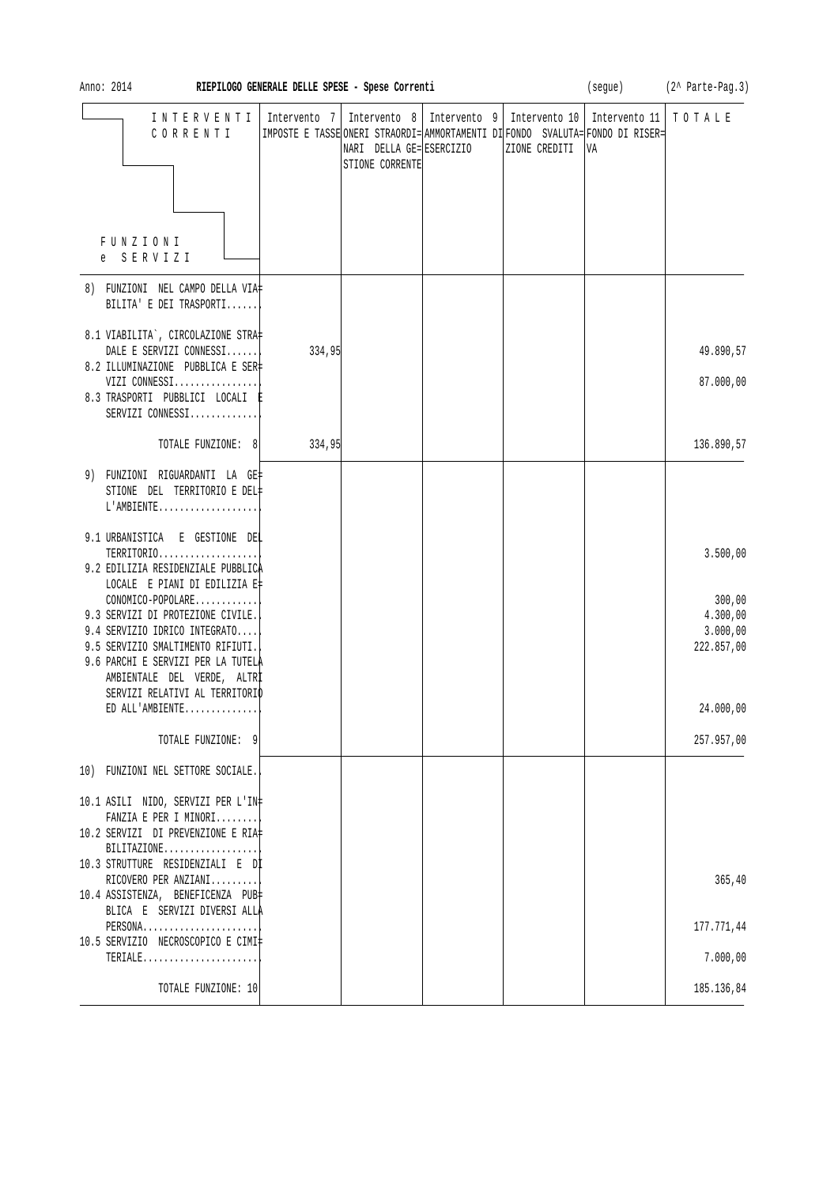| Anno: 2014                                                                                             | RIEPILOGO GENERALE DELLE SPESE - Spese Correnti |                                                                              |                                                                                                                   |                     | (segue) (2^ Parte-Pag.3) |
|--------------------------------------------------------------------------------------------------------|-------------------------------------------------|------------------------------------------------------------------------------|-------------------------------------------------------------------------------------------------------------------|---------------------|--------------------------|
| INTERVENTI<br>CORRENTI                                                                                 | Intervento 7                                    | Intervento 8   Intervento 9  <br>NARI DELLA GE= ESERCIZIO<br>STIONE CORRENTE | Intervento 10<br> IMPOSTE E TASSE ONERI STRAORDI= AMMORTAMENTI DI FONDO SVALUTA= FONDO DI RISER=<br>ZIONE CREDITI | Intervento 11<br>VA | TOTALE                   |
|                                                                                                        |                                                 |                                                                              |                                                                                                                   |                     |                          |
| <b>FUNZIONI</b><br>e SERVIZI                                                                           |                                                 |                                                                              |                                                                                                                   |                     |                          |
| 8) FUNZIONI NEL CAMPO DELLA VIA‡<br>BILITA' E DEI TRASPORTI                                            |                                                 |                                                                              |                                                                                                                   |                     |                          |
| 8.1 VIABILITA`, CIRCOLAZIONE STRA‡                                                                     |                                                 |                                                                              |                                                                                                                   |                     |                          |
| DALE E SERVIZI CONNESSI<br>8.2 ILLUMINAZIONE PUBBLICA E SER‡                                           | 334,95                                          |                                                                              |                                                                                                                   |                     | 49.890,57                |
| VIZI CONNESSI<br>8.3 TRASPORTI PUBBLICI LOCALI E<br>SERVIZI CONNESSI                                   |                                                 |                                                                              |                                                                                                                   |                     | 87.000,00                |
| TOTALE FUNZIONE: 8                                                                                     | 334,95                                          |                                                                              |                                                                                                                   |                     | 136.890,57               |
| 9) FUNZIONI RIGUARDANTI LA GE‡<br>STIONE DEL TERRITORIO E DEL#<br>$L'AMBIENTE$                         |                                                 |                                                                              |                                                                                                                   |                     |                          |
| 9.1 URBANISTICA E GESTIONE DEL                                                                         |                                                 |                                                                              |                                                                                                                   |                     |                          |
| TERRITORIO<br>9.2 EDILIZIA RESIDENZIALE PUBBLICA                                                       |                                                 |                                                                              |                                                                                                                   |                     | 3.500,00                 |
| LOCALE E PIANI DI EDILIZIA E‡<br>CONOMICO-POPOLARE                                                     |                                                 |                                                                              |                                                                                                                   |                     | 300,00                   |
| 9.3 SERVIZI DI PROTEZIONE CIVILE.<br>9.4 SERVIZIO IDRICO INTEGRATO                                     |                                                 |                                                                              |                                                                                                                   |                     | 4.300,00<br>3.000,00     |
| 9.5 SERVIZIO SMALTIMENTO RIFIUTI.<br>9.6 PARCHI E SERVIZI PER LA TUTELÀ<br>AMBIENTALE DEL VERDE, ALTRI |                                                 |                                                                              |                                                                                                                   |                     | 222.857,00               |
| SERVIZI RELATIVI AL TERRITORIO<br>ED ALL'AMBIENTE                                                      |                                                 |                                                                              |                                                                                                                   |                     | 24.000,00                |
| TOTALE FUNZIONE: 9                                                                                     |                                                 |                                                                              |                                                                                                                   |                     | 257.957,00               |
| 10) FUNZIONI NEL SETTORE SOCIALE.                                                                      |                                                 |                                                                              |                                                                                                                   |                     |                          |
| 10.1 ASILI NIDO, SERVIZI PER L'IN‡                                                                     |                                                 |                                                                              |                                                                                                                   |                     |                          |
| FANZIA E PER I MINORI<br>10.2 SERVIZI DI PREVENZIONE E RIA‡                                            |                                                 |                                                                              |                                                                                                                   |                     |                          |
| $BILITAZIONE$<br>10.3 STRUTTURE RESIDENZIALI E Dİ                                                      |                                                 |                                                                              |                                                                                                                   |                     |                          |
| RICOVERO PER ANZIANI<br>10.4 ASSISTENZA, BENEFICENZA PUB‡                                              |                                                 |                                                                              |                                                                                                                   |                     | 365, 40                  |
| BLICA E SERVIZI DIVERSI ALLA<br>PERSONA                                                                |                                                 |                                                                              |                                                                                                                   |                     | 177.771,44               |
| 10.5 SERVIZIO NECROSCOPICO E CIMI‡<br>TERIALE                                                          |                                                 |                                                                              |                                                                                                                   |                     | 7.000,00                 |
| TOTALE FUNZIONE: 10                                                                                    |                                                 |                                                                              |                                                                                                                   |                     | 185.136,84               |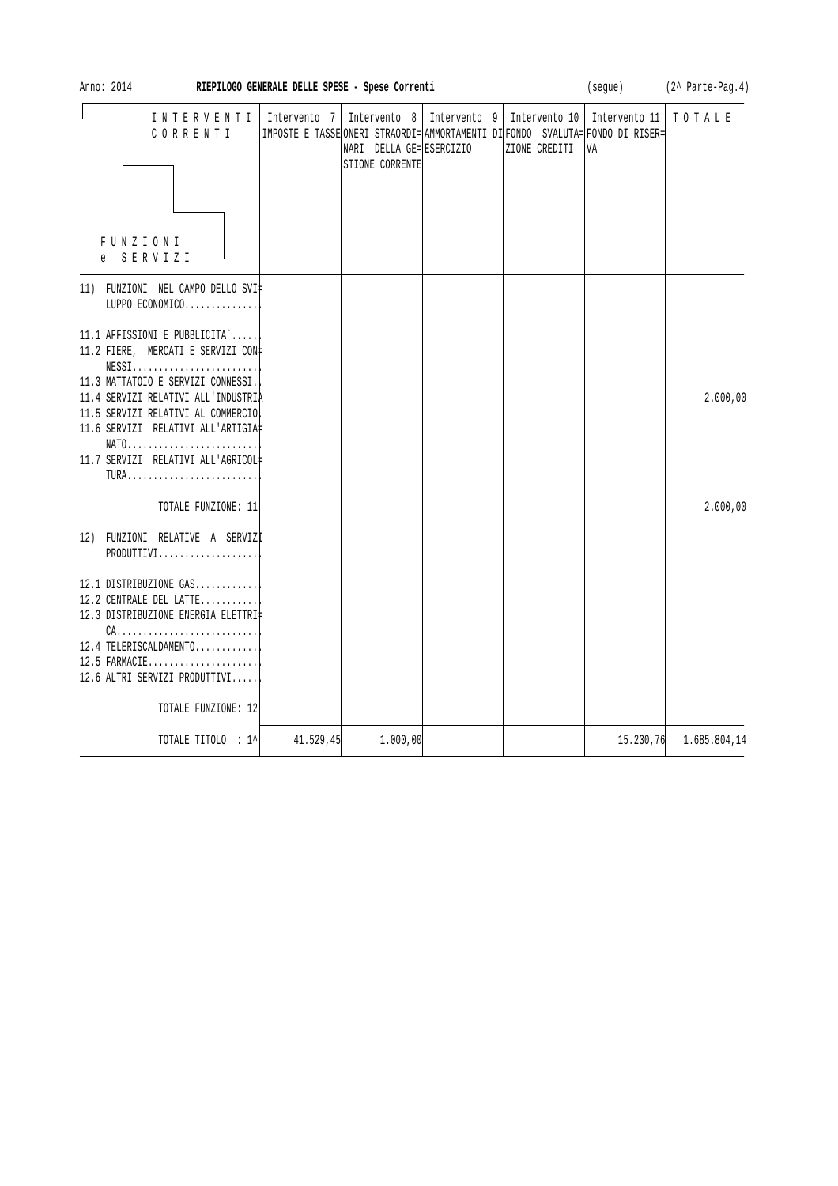| Anno: 2014                                                                                                                                                                                                                                                                                                                              | RIEPILOGO GENERALE DELLE SPESE - Spese Correnti |                                                               |              |                                | (segue)                                                                                               | (2^ Parte-Pag.4) |
|-----------------------------------------------------------------------------------------------------------------------------------------------------------------------------------------------------------------------------------------------------------------------------------------------------------------------------------------|-------------------------------------------------|---------------------------------------------------------------|--------------|--------------------------------|-------------------------------------------------------------------------------------------------------|------------------|
| INTERVENTI<br>CORRENTI<br>FUNZIONI<br>SERVIZI<br>e                                                                                                                                                                                                                                                                                      | Intervento 7                                    | Intervento $8$<br>NARI DELLA GE= ESERCIZIO<br>STIONE CORRENTE | Intervento 9 | Intervento 10<br>ZIONE CREDITI | Intervento 11<br>IMPOSTE E TASSE ONERI STRAORDI= AMMORTAMENTI DI FONDO SVALUTA= FONDO DI RISER=<br>VA | TOTALE           |
| 11) FUNZIONI NEL CAMPO DELLO SVI‡<br>LUPPO ECONOMICO                                                                                                                                                                                                                                                                                    |                                                 |                                                               |              |                                |                                                                                                       |                  |
| 11.1 AFFISSIONI E PUBBLICITA`<br>11.2 FIERE, MERCATI E SERVIZI CON#<br>$NESS1, \ldots, \ldots, \ldots, \ldots, \ldots, \ldots,$<br>11.3 MATTATOIO E SERVIZI CONNESSI.<br>11.4 SERVIZI RELATIVI ALL'INDUSTRIA<br>11.5 SERVIZI RELATIVI AL COMMERCIO!<br>11.6 SERVIZI RELATIVI ALL'ARTIGIA#<br>NATO<br>11.7 SERVIZI RELATIVI ALL'AGRICOL‡ |                                                 |                                                               |              |                                |                                                                                                       | 2.000,00         |
| TOTALE FUNZIONE: 11                                                                                                                                                                                                                                                                                                                     |                                                 |                                                               |              |                                |                                                                                                       | 2.000,00         |
| 12) FUNZIONI RELATIVE A SERVIZI<br>PRODUTTIVI                                                                                                                                                                                                                                                                                           |                                                 |                                                               |              |                                |                                                                                                       |                  |
| 12.1 DISTRIBUZIONE GAS<br>12.2 CENTRALE DEL LATTE<br>12.3 DISTRIBUZIONE ENERGIA ELETTRI‡<br>$CA.$<br>12.4 TELERISCALDAMENTO<br>12.5 FARMACIE<br>12.6 ALTRI SERVIZI PRODUTTIVI                                                                                                                                                           |                                                 |                                                               |              |                                |                                                                                                       |                  |
| TOTALE FUNZIONE: 12                                                                                                                                                                                                                                                                                                                     |                                                 |                                                               |              |                                |                                                                                                       |                  |
| TOTALE TITOLO : 1^                                                                                                                                                                                                                                                                                                                      | 41.529,45                                       | 1.000,00                                                      |              |                                | 15.230,76                                                                                             | 1.685.804,14     |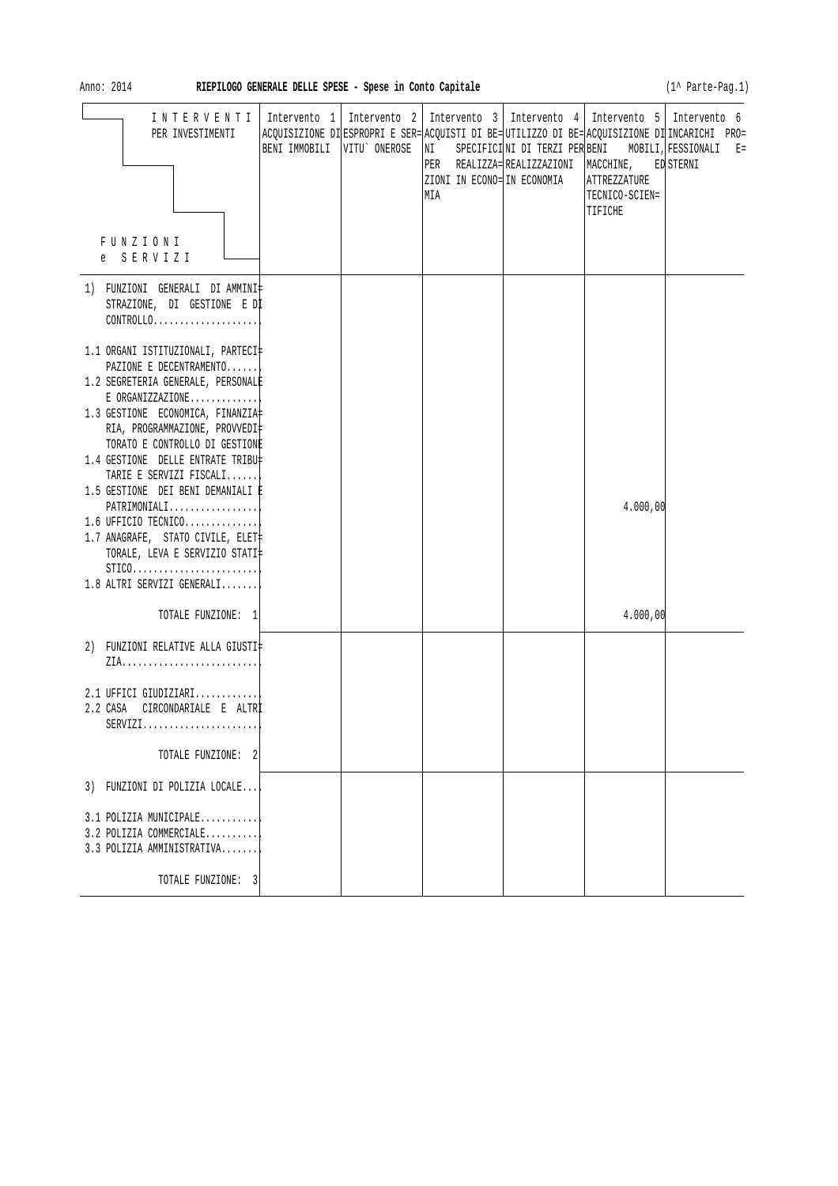| Anno: 2014                                                                                                                                                                        | RIEPILOGO GENERALE DELLE SPESE - Spese in Conto Capitale |                                                                                                                                                                                                                                       |                                      |                                           | (1^ Parte-Pag.1)                                                 |
|-----------------------------------------------------------------------------------------------------------------------------------------------------------------------------------|----------------------------------------------------------|---------------------------------------------------------------------------------------------------------------------------------------------------------------------------------------------------------------------------------------|--------------------------------------|-------------------------------------------|------------------------------------------------------------------|
| INTERVENTI<br>PER INVESTIMENTI<br>FUNZIONI<br>e SERVIZI                                                                                                                           | BENI IMMOBILI VITU' ONEROSE                              | Intervento 1   Intervento 2   Intervento 3   Intervento 4   Intervento 5   Intervento 6<br>ACQUISIZIONE DI ESPROPRI E SER= ACQUISTI DI BE= UTILIZZO DI BE= ACQUISIZIONE DI INCARICHI PRO=<br>NI<br>ZIONI IN ECONO= IN ECONOMIA<br>MIA | PER REALIZZA=REALIZZAZIONI MACCHINE, | ATTREZZATURE<br>TECNICO-SCIEN=<br>TIFICHE | SPECIFICINI DI TERZI PER BENI MOBILI, FESSIONALI E=<br>ED STERNI |
| 1) FUNZIONI GENERALI DI AMMINI‡<br>STRAZIONE, DI GESTIONE E DI<br>$CONTROLLO. \ldots \ldots \ldots \ldots \ldots$                                                                 |                                                          |                                                                                                                                                                                                                                       |                                      |                                           |                                                                  |
| 1.1 ORGANI ISTITUZIONALI, PARTECI‡<br>PAZIONE E DECENTRAMENTO<br>1.2 SEGRETERIA GENERALE, PERSONALE<br>$E$ ORGANIZZAZIONE                                                         |                                                          |                                                                                                                                                                                                                                       |                                      |                                           |                                                                  |
| 1.3 GESTIONE ECONOMICA, FINANZIA<br>RIA, PROGRAMMAZIONE, PROVVEDI‡<br>TORATO E CONTROLLO DI GESTIONE                                                                              |                                                          |                                                                                                                                                                                                                                       |                                      |                                           |                                                                  |
| 1.4 GESTIONE DELLE ENTRATE TRIBU‡<br>TARIE E SERVIZI FISCALI<br>1.5 GESTIONE DEI BENI DEMANIALI È                                                                                 |                                                          |                                                                                                                                                                                                                                       |                                      |                                           |                                                                  |
| $PATHIMONIALI$<br>$1.6$ UFFICIO TECNICO<br>1.7 ANAGRAFE, STATO CIVILE, ELET‡<br>TORALE, LEVA E SERVIZIO STATI<br>$STICO. \ldots \ldots \ldots \ldots \ldots \ldots \ldots \ldots$ |                                                          |                                                                                                                                                                                                                                       |                                      | 4.000,00                                  |                                                                  |
| 1.8 ALTRI SERVIZI GENERALI<br>TOTALE FUNZIONE: 1                                                                                                                                  |                                                          |                                                                                                                                                                                                                                       |                                      | 4.000,00                                  |                                                                  |
| 2) FUNZIONI RELATIVE ALLA GIUSTI‡                                                                                                                                                 |                                                          |                                                                                                                                                                                                                                       |                                      |                                           |                                                                  |
| 2.1 UFFICI GIUDIZIARI<br>2.2 CASA<br>CIRCONDARIALE E ALTRI<br>$SERVIZI.$                                                                                                          |                                                          |                                                                                                                                                                                                                                       |                                      |                                           |                                                                  |
| TOTALE FUNZIONE: 2                                                                                                                                                                |                                                          |                                                                                                                                                                                                                                       |                                      |                                           |                                                                  |
| 3) FUNZIONI DI POLIZIA LOCALE                                                                                                                                                     |                                                          |                                                                                                                                                                                                                                       |                                      |                                           |                                                                  |
| 3.1 POLIZIA MUNICIPALE<br>3.2 POLIZIA COMMERCIALE<br>3.3 POLIZIA AMMINISTRATIVA                                                                                                   |                                                          |                                                                                                                                                                                                                                       |                                      |                                           |                                                                  |
| TOTALE FUNZIONE: 3                                                                                                                                                                |                                                          |                                                                                                                                                                                                                                       |                                      |                                           |                                                                  |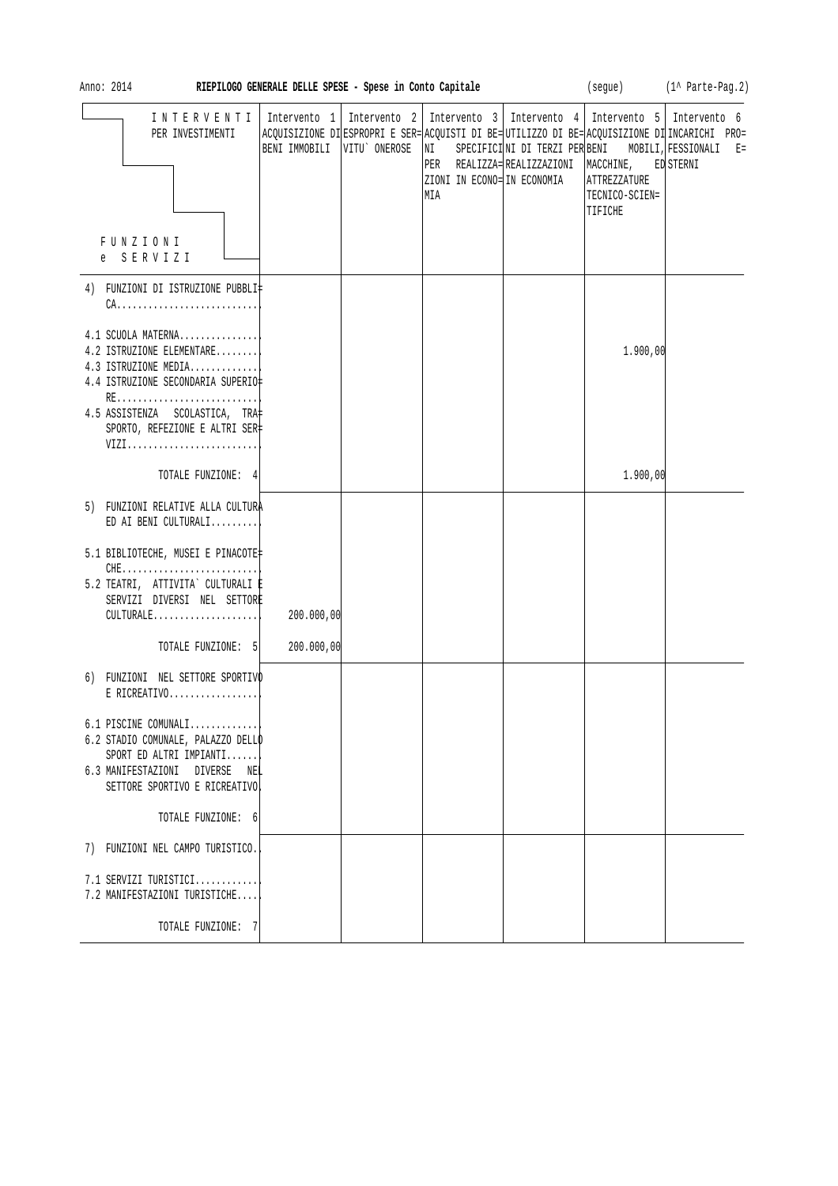| Anno: 2014                                                                                                                                                                                                                     | RIEPILOGO GENERALE DELLE SPESE - Spese in Conto Capitale |              |                                                                                                                                          |                                                                                             |                                           | (segue) (1^ Parte-Pag.2)                                                                                             |
|--------------------------------------------------------------------------------------------------------------------------------------------------------------------------------------------------------------------------------|----------------------------------------------------------|--------------|------------------------------------------------------------------------------------------------------------------------------------------|---------------------------------------------------------------------------------------------|-------------------------------------------|----------------------------------------------------------------------------------------------------------------------|
| INTERVENTI<br>PER INVESTIMENTI<br>FUNZIONI<br>e SERVIZI                                                                                                                                                                        | Intervento 1<br>BENI IMMOBILI                            | VITU ONEROSE | Intervento 2   Intervento 3   Intervento 4   Intervento 5   Intervento 6<br>$\overline{\text{NI}}$<br>ZIONI IN ECONO= IN ECONOMIA<br>MIA | SPECIFICINI DI TERZI PER BENI MOBILI, FESSIONALI<br>PER REALIZZA= REALIZZAZIONI   MACCHINE, | ATTREZZATURE<br>TECNICO-SCIEN=<br>TIFICHE | ACQUISIZIONE DI ESPROPRI E SER= ACQUISTI DI BE= UTILIZZO DI BE= ACQUISIZIONE DI INCARICHI PRO=<br>$E =$<br>ED STERNI |
| 4) FUNZIONI DI ISTRUZIONE PUBBLI‡<br>4.1 SCUOLA MATERNA<br>4.2 ISTRUZIONE ELEMENTARE<br>4.3 ISTRUZIONE MEDIA<br>4.4 ISTRUZIONE SECONDARIA SUPERIO‡<br>4.5 ASSISTENZA SCOLASTICA, TRA<br>SPORTO, REFEZIONE E ALTRI SER‡<br>VIZI |                                                          |              |                                                                                                                                          |                                                                                             | 1.900,00                                  |                                                                                                                      |
| TOTALE FUNZIONE: 4                                                                                                                                                                                                             |                                                          |              |                                                                                                                                          |                                                                                             | 1.900,00                                  |                                                                                                                      |
| 5) FUNZIONI RELATIVE ALLA CULTURA<br>ED AI BENI CULTURALI<br>5.1 BIBLIOTECHE, MUSEI E PINACOTE‡<br>$CHE$<br>5.2 TEATRI, ATTIVITA` CULTURALI E<br>SERVIZI DIVERSI NEL SETTORE<br>CULTURALE                                      | 200.000,00                                               |              |                                                                                                                                          |                                                                                             |                                           |                                                                                                                      |
| TOTALE FUNZIONE: 5                                                                                                                                                                                                             | 200.000,00                                               |              |                                                                                                                                          |                                                                                             |                                           |                                                                                                                      |
| 6) FUNZIONI NEL SETTORE SPORTIVO<br>$E$ RICREATIVO<br>6.1 PISCINE COMUNALI<br>6.2 STADIO COMUNALE, PALAZZO DELLO<br>SPORT ED ALTRI IMPIANTI                                                                                    |                                                          |              |                                                                                                                                          |                                                                                             |                                           |                                                                                                                      |
| 6.3 MANIFESTAZIONI DIVERSE NEL<br>SETTORE SPORTIVO E RICREATIVO                                                                                                                                                                |                                                          |              |                                                                                                                                          |                                                                                             |                                           |                                                                                                                      |
| TOTALE FUNZIONE: 6                                                                                                                                                                                                             |                                                          |              |                                                                                                                                          |                                                                                             |                                           |                                                                                                                      |
| 7) FUNZIONI NEL CAMPO TURISTICO.                                                                                                                                                                                               |                                                          |              |                                                                                                                                          |                                                                                             |                                           |                                                                                                                      |
| 7.1 SERVIZI TURISTICI<br>7.2 MANIFESTAZIONI TURISTICHE                                                                                                                                                                         |                                                          |              |                                                                                                                                          |                                                                                             |                                           |                                                                                                                      |
| TOTALE FUNZIONE: 7                                                                                                                                                                                                             |                                                          |              |                                                                                                                                          |                                                                                             |                                           |                                                                                                                      |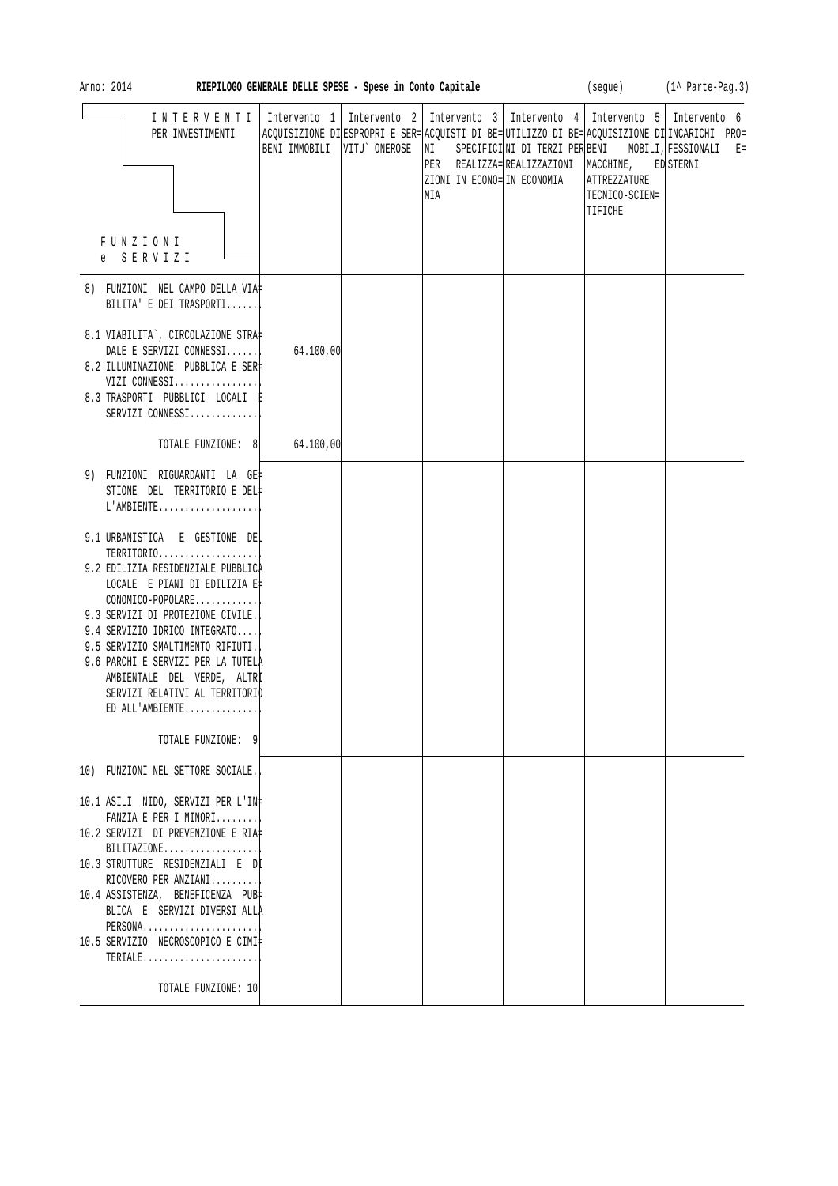| Anno: 2014<br>RIEPILOGO GENERALE DELLE SPESE - Spese in Conto Capitale                                                                                                                                                                                                                                                                                                                                                                                                                |                                                                                                                                                                                                                                         | (segue) (1^ Parte-Pag.3)                                                                                                    |                                           |           |
|---------------------------------------------------------------------------------------------------------------------------------------------------------------------------------------------------------------------------------------------------------------------------------------------------------------------------------------------------------------------------------------------------------------------------------------------------------------------------------------|-----------------------------------------------------------------------------------------------------------------------------------------------------------------------------------------------------------------------------------------|-----------------------------------------------------------------------------------------------------------------------------|-------------------------------------------|-----------|
| INTERVENTI<br>PER INVESTIMENTI<br>FUNZIONI<br>e SERVIZI                                                                                                                                                                                                                                                                                                                                                                                                                               | Intervento 1   Intervento 2   Intervento 3   Intervento 4   Intervento 5   Intervento 6<br>ACQUISIZIONE DI ESPROPRI E SER= ACQUISTI DI BE= UTILIZZO DI BE= ACQUISIZIONE DI INCARICHI PRO=<br>VITU ONEROSE<br>BENI IMMOBILI<br>NI<br>MIA | SPECIFICINI DI TERZI PER BENI MOBILI, FESSIONALI E=<br>PER REALIZZA=REALIZZAZIONI  MACCHINE,<br>ZIONI IN ECONO= IN ECONOMIA | ATTREZZATURE<br>TECNICO-SCIEN=<br>TIFICHE | ED STERNI |
| 8) FUNZIONI NEL CAMPO DELLA VIA‡<br>BILITA' E DEI TRASPORTI                                                                                                                                                                                                                                                                                                                                                                                                                           |                                                                                                                                                                                                                                         |                                                                                                                             |                                           |           |
| 8.1 VIABILITA`, CIRCOLAZIONE STRA‡<br>DALE E SERVIZI CONNESSI<br>8.2 ILLUMINAZIONE PUBBLICA E SER‡<br>VIZI CONNESSI<br>8.3 TRASPORTI PUBBLICI LOCALI E<br>SERVIZI CONNESSI                                                                                                                                                                                                                                                                                                            | 64.100,00                                                                                                                                                                                                                               |                                                                                                                             |                                           |           |
| TOTALE FUNZIONE: 8 64.100,00                                                                                                                                                                                                                                                                                                                                                                                                                                                          |                                                                                                                                                                                                                                         |                                                                                                                             |                                           |           |
| 9) FUNZIONI RIGUARDANTI LA GE‡<br>STIONE DEL TERRITORIO E DEL‡<br>$L'AMBIENTE$<br>9.1 URBANISTICA E GESTIONE DEL<br>TERRITORIO<br>9.2 EDILIZIA RESIDENZIALE PUBBLICA<br>LOCALE E PIANI DI EDILIZIA E‡<br>CONOMICO-POPOLARE<br>9.3 SERVIZI DI PROTEZIONE CIVILE.<br>9.4 SERVIZIO IDRICO INTEGRATO<br>9.5 SERVIZIO SMALTIMENTO RIFIUTI.<br>9.6 PARCHI E SERVIZI PER LA TUTELA<br>AMBIENTALE DEL VERDE, ALTRI<br>SERVIZI RELATIVI AL TERRITORIO<br>ED ALL'AMBIENTE<br>TOTALE FUNZIONE: 9 |                                                                                                                                                                                                                                         |                                                                                                                             |                                           |           |
| 10) FUNZIONI NEL SETTORE SOCIALE.<br>10.1 ASILI NIDO, SERVIZI PER L'IN‡<br>FANZIA E PER I MINORI<br>10.2 SERVIZI DI PREVENZIONE E RIA‡<br>$BILITAZIONE$<br>10.3 STRUTTURE RESIDENZIALI E DI<br>RICOVERO PER ANZIANI<br>10.4 ASSISTENZA, BENEFICENZA PUB<br>BLICA E SERVIZI DIVERSI ALLA<br>PERSONA<br>10.5 SERVIZIO NECROSCOPICO E CIMI‡<br>TERIALE<br>TOTALE FUNZIONE: 10                                                                                                            |                                                                                                                                                                                                                                         |                                                                                                                             |                                           |           |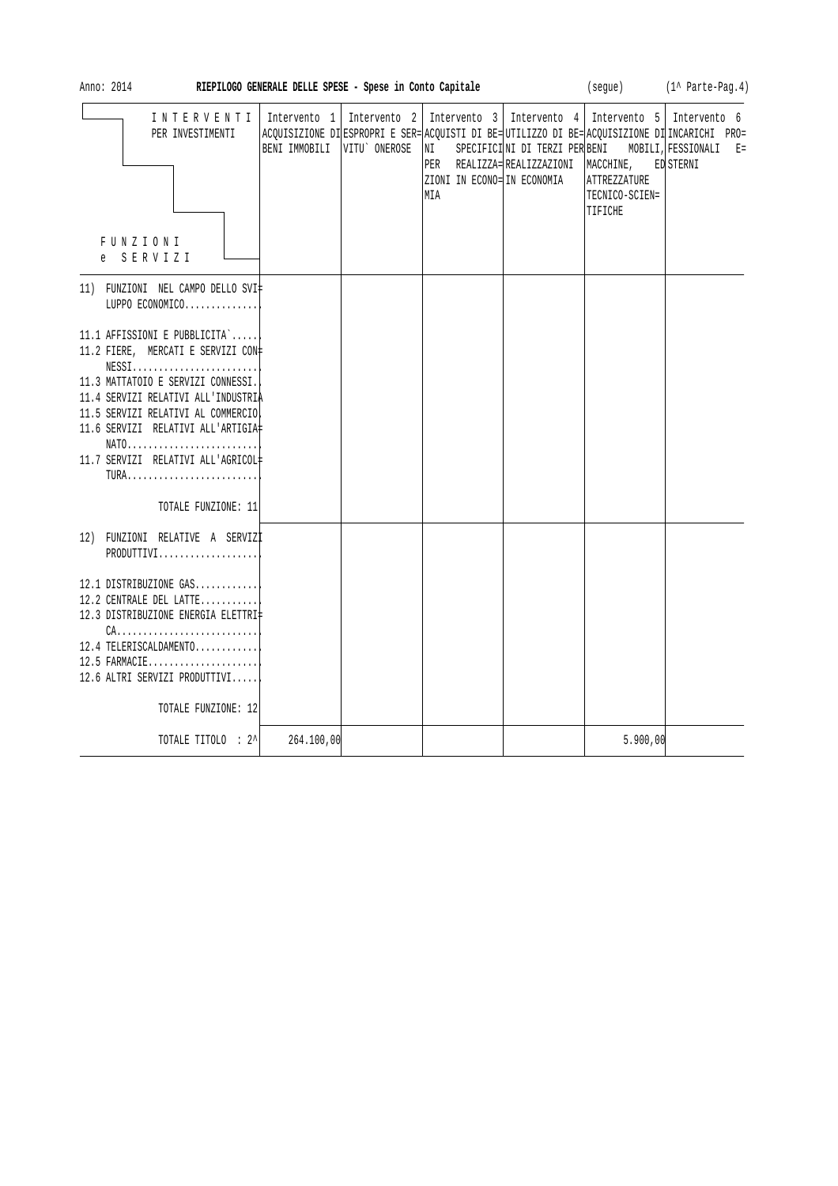| Anno: 2014<br>RIEPILOGO GENERALE DELLE SPESE - Spese in Conto Capitale                                                                                                                                                                                                                                                                                                                                   |                             |  |                                          |                                      | (segue)                                                                                                                              | $(1^{\wedge}$ Parte-Pag. 4)                                                                                                                                        |
|----------------------------------------------------------------------------------------------------------------------------------------------------------------------------------------------------------------------------------------------------------------------------------------------------------------------------------------------------------------------------------------------------------|-----------------------------|--|------------------------------------------|--------------------------------------|--------------------------------------------------------------------------------------------------------------------------------------|--------------------------------------------------------------------------------------------------------------------------------------------------------------------|
| INTERVENTI<br>PER INVESTIMENTI<br><b>FUNZIONI</b><br>e SERVIZI                                                                                                                                                                                                                                                                                                                                           | BENI IMMOBILI VITU` ONEROSE |  | NI<br>ZIONI IN ECONO= IN ECONOMIA<br>MIA | PER REALIZZA=REALIZZAZIONI MACCHINE, | Intervento 1   Intervento 2   Intervento 3   Intervento 4   Intervento 5   Intervento 6<br>ATTREZZATURE<br>TECNICO-SCIEN=<br>TIFICHE | ACQUISIZIONE DI ESPROPRI E SER= ACQUISTI DI BE= UTILIZZO DI BE= ACQUISIZIONE DI INCARICHI PRO=<br>SPECIFICINI DI TERZI PER BENI MOBILI, FESSIONALI E=<br>ED STERNI |
| 11) FUNZIONI NEL CAMPO DELLO SVI‡<br>LUPPO ECONOMICO                                                                                                                                                                                                                                                                                                                                                     |                             |  |                                          |                                      |                                                                                                                                      |                                                                                                                                                                    |
| 11.1 AFFISSIONI E PUBBLICITA`<br>11.2 FIERE, MERCATI E SERVIZI CON=<br>$NESS1, \ldots, \ldots, \ldots, \ldots, \ldots, \ldots,$<br>11.3 MATTATOIO E SERVIZI CONNESSI.<br>11.4 SERVIZI RELATIVI ALL'INDUSTRIA<br>11.5 SERVIZI RELATIVI AL COMMERCIO<br>11.6 SERVIZI RELATIVI ALL'ARTIGIA#<br>$NATO \ldots \ldots \ldots \ldots \ldots \ldots \ldots \ldots$<br>11.7 SERVIZI RELATIVI ALL'AGRICOL#<br>TURA |                             |  |                                          |                                      |                                                                                                                                      |                                                                                                                                                                    |
| TOTALE FUNZIONE: 11                                                                                                                                                                                                                                                                                                                                                                                      |                             |  |                                          |                                      |                                                                                                                                      |                                                                                                                                                                    |
| 12) FUNZIONI RELATIVE A SERVIZI<br>PRODUTTIVI<br>12.1 DISTRIBUZIONE GAS<br>12.2 CENTRALE DEL LATTE<br>12.3 DISTRIBUZIONE ENERGIA ELETTRI‡<br>$CA.$<br>12.4 TELERISCALDAMENTO<br>$12.5$ FARMACIE<br>12.6 ALTRI SERVIZI PRODUTTIVI<br>TOTALE FUNZIONE: 12                                                                                                                                                  |                             |  |                                          |                                      |                                                                                                                                      |                                                                                                                                                                    |
| TOTALE TITOLO : 2^                                                                                                                                                                                                                                                                                                                                                                                       | 264.100,00                  |  |                                          |                                      | 5.900,00                                                                                                                             |                                                                                                                                                                    |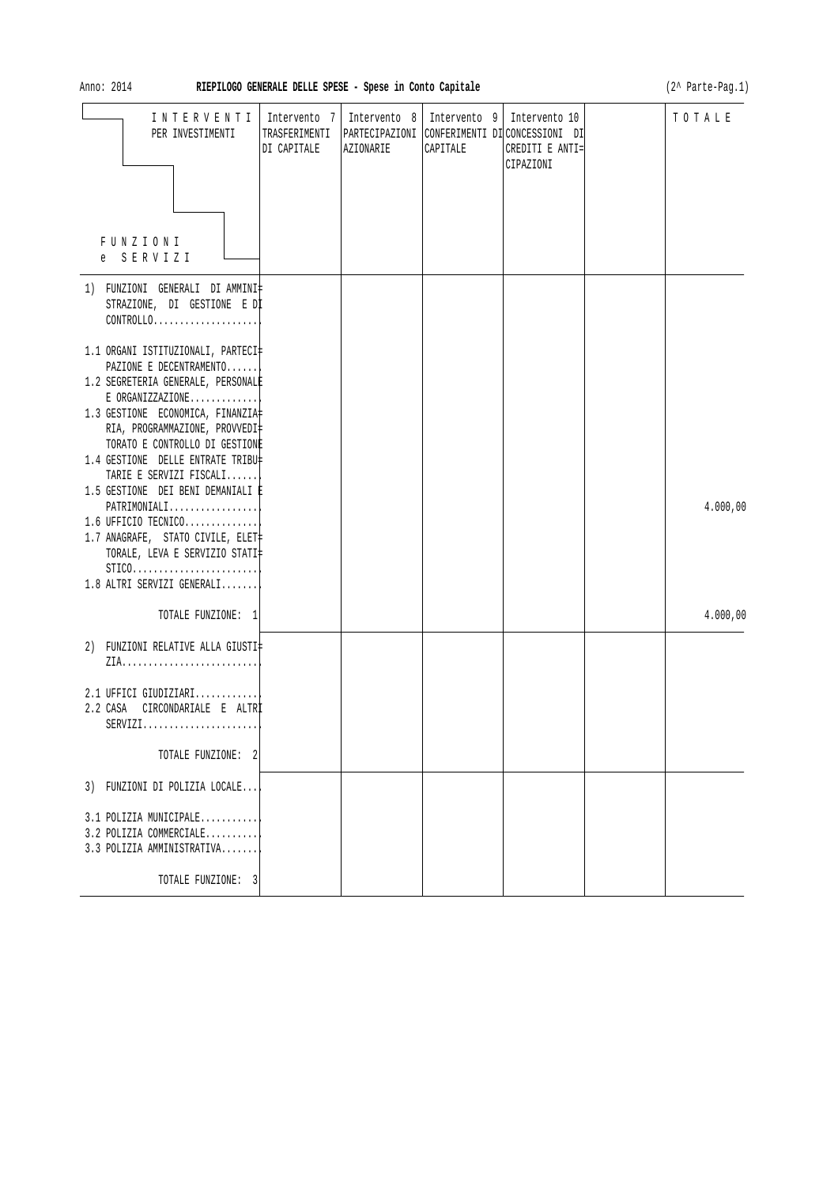| Anno: 2014                                                                                                                                                       |                                              | RIEPILOGO GENERALE DELLE SPESE - Spese in Conto Capitale |                                           |                                                                                               | (2^ Parte-Pag.1) |
|------------------------------------------------------------------------------------------------------------------------------------------------------------------|----------------------------------------------|----------------------------------------------------------|-------------------------------------------|-----------------------------------------------------------------------------------------------|------------------|
| INTERVENTI<br>PER INVESTIMENTI                                                                                                                                   | Intervento 7<br>TRASFERIMENTI<br>DI CAPITALE | AZIONARIE                                                | Intervento 8   Intervento 9  <br>CAPITALE | Intervento 10<br>PARTECIPAZIONI CONFERIMENTI DICONCESSIONI DI<br>CREDITI E ANTI=<br>CIPAZIONI | TOTALE           |
| FUNZIONI<br>SERVIZI<br>e –                                                                                                                                       |                                              |                                                          |                                           |                                                                                               |                  |
| 1) FUNZIONI GENERALI DI AMMINI‡<br>STRAZIONE, DI GESTIONE E DI<br>CONTROLLO<br>1.1 ORGANI ISTITUZIONALI, PARTECI‡                                                |                                              |                                                          |                                           |                                                                                               |                  |
| PAZIONE E DECENTRAMENTO<br>1.2 SEGRETERIA GENERALE, PERSONALE<br>E ORGANIZZAZIONE<br>1.3 GESTIONE ECONOMICA, FINANZIA<br>RIA, PROGRAMMAZIONE, PROVVEDI‡          |                                              |                                                          |                                           |                                                                                               |                  |
| TORATO E CONTROLLO DI GESTIONE<br>1.4 GESTIONE DELLE ENTRATE TRIBU‡<br>TARIE E SERVIZI FISCALI<br>1.5 GESTIONE DEI BENI DEMANIALI È<br>$PATHIMONIALI$            |                                              |                                                          |                                           |                                                                                               | 4.000,00         |
| $1.6$ UFFICIO TECNICO<br>1.7 ANAGRAFE, STATO CIVILE, ELET‡<br>TORALE, LEVA E SERVIZIO STATI‡<br>$STICO. \ldots \ldots \ldots \ldots \ldots \ldots \ldots \ldots$ |                                              |                                                          |                                           |                                                                                               |                  |
| 1.8 ALTRI SERVIZI GENERALI<br>TOTALE FUNZIONE: 1                                                                                                                 |                                              |                                                          |                                           |                                                                                               | 4.000,00         |
| 2) FUNZIONI RELATIVE ALLA GIUSTI‡                                                                                                                                |                                              |                                                          |                                           |                                                                                               |                  |
| 2.1 UFFICI GIUDIZIARI<br>2.2 CASA<br>CIRCONDARIALE E ALTRÌ<br>$SERVIZI.$                                                                                         |                                              |                                                          |                                           |                                                                                               |                  |
| TOTALE FUNZIONE: 2                                                                                                                                               |                                              |                                                          |                                           |                                                                                               |                  |
| 3) FUNZIONI DI POLIZIA LOCALE<br>3.1 POLIZIA MUNICIPALE<br>3.2 POLIZIA COMMERCIALE<br>3.3 POLIZIA AMMINISTRATIVA                                                 |                                              |                                                          |                                           |                                                                                               |                  |
| TOTALE FUNZIONE: 3                                                                                                                                               |                                              |                                                          |                                           |                                                                                               |                  |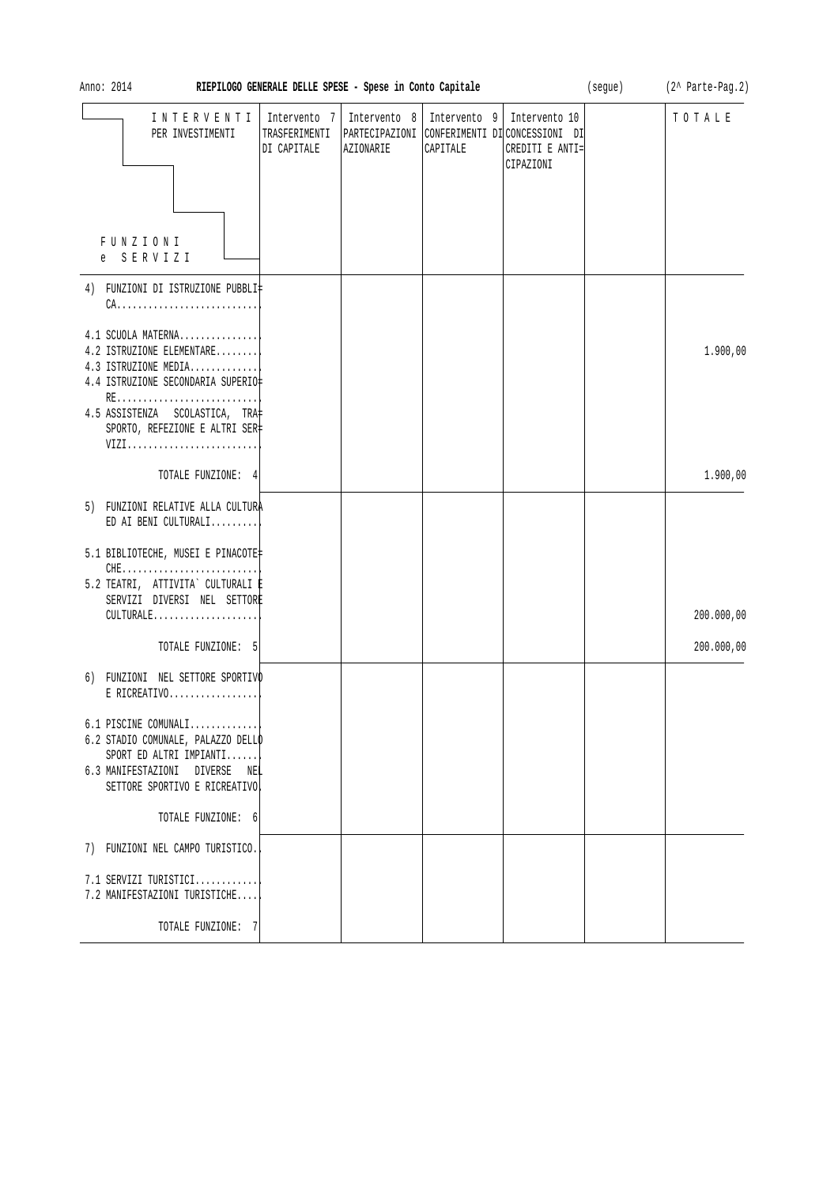| Anno: 2014<br>RIEPILOGO GENERALE DELLE SPESE - Spese in Conto Capitale |                                                                                                                                                       |                                              |                           |                          |                                                                                                | (segue) | (2^ Parte-Pag.2) |
|------------------------------------------------------------------------|-------------------------------------------------------------------------------------------------------------------------------------------------------|----------------------------------------------|---------------------------|--------------------------|------------------------------------------------------------------------------------------------|---------|------------------|
|                                                                        | INTERVENTI<br>PER INVESTIMENTI                                                                                                                        | Intervento 7<br>TRASFERIMENTI<br>DI CAPITALE | Intervento 8<br>AZIONARIE | Intervento 9<br>CAPITALE | Intervento 10<br>PARTECIPAZIONI CONFERIMENTI DI CONCESSIONI DI<br>CREDITI E ANTI=<br>CIPAZIONI |         | TOTALE           |
|                                                                        |                                                                                                                                                       |                                              |                           |                          |                                                                                                |         |                  |
| FUNZIONI<br>SERVIZI<br>e                                               |                                                                                                                                                       |                                              |                           |                          |                                                                                                |         |                  |
|                                                                        | 4) FUNZIONI DI ISTRUZIONE PUBBLI‡<br>$CA.$                                                                                                            |                                              |                           |                          |                                                                                                |         |                  |
|                                                                        | 4.1 SCUOLA MATERNA<br>4.2 ISTRUZIONE ELEMENTARE<br>4.3 ISTRUZIONE MEDIA<br>4.4 ISTRUZIONE SECONDARIA SUPERIO‡<br>RE<br>4.5 ASSISTENZA SCOLASTICA, TRA |                                              |                           |                          |                                                                                                |         | 1.900,00         |
|                                                                        | SPORTO, REFEZIONE E ALTRI SER‡<br>VIZI                                                                                                                |                                              |                           |                          |                                                                                                |         |                  |
|                                                                        | TOTALE FUNZIONE: 4                                                                                                                                    |                                              |                           |                          |                                                                                                |         | 1.900,00         |
|                                                                        | 5) FUNZIONI RELATIVE ALLA CULTURA<br>ED AI BENI CULTURALI                                                                                             |                                              |                           |                          |                                                                                                |         |                  |
|                                                                        | 5.1 BIBLIOTECHE, MUSEI E PINACOTE<br>$CHE$<br>5.2 TEATRI, ATTIVITA` CULTURALI E<br>SERVIZI DIVERSI NEL SETTORE<br>CULTURALE                           |                                              |                           |                          |                                                                                                |         | 200.000,00       |
|                                                                        | TOTALE FUNZIONE: 5                                                                                                                                    |                                              |                           |                          |                                                                                                |         | 200.000,00       |
|                                                                        | 6) FUNZIONI NEL SETTORE SPORTIVO<br>$E$ RICREATIVO                                                                                                    |                                              |                           |                          |                                                                                                |         |                  |
| 6.3 MANIFESTAZIONI DIVERSE                                             | 6.1 PISCINE COMUNALI<br>6.2 STADIO COMUNALE, PALAZZO DELLO<br>SPORT ED ALTRI IMPIANTI<br>NEL<br>SETTORE SPORTIVO E RICREATIVO                         |                                              |                           |                          |                                                                                                |         |                  |
|                                                                        | TOTALE FUNZIONE: 6                                                                                                                                    |                                              |                           |                          |                                                                                                |         |                  |
|                                                                        | 7) FUNZIONI NEL CAMPO TURISTICO.                                                                                                                      |                                              |                           |                          |                                                                                                |         |                  |
|                                                                        | 7.1 SERVIZI TURISTICI<br>7.2 MANIFESTAZIONI TURISTICHE                                                                                                |                                              |                           |                          |                                                                                                |         |                  |
|                                                                        | TOTALE FUNZIONE: 7                                                                                                                                    |                                              |                           |                          |                                                                                                |         |                  |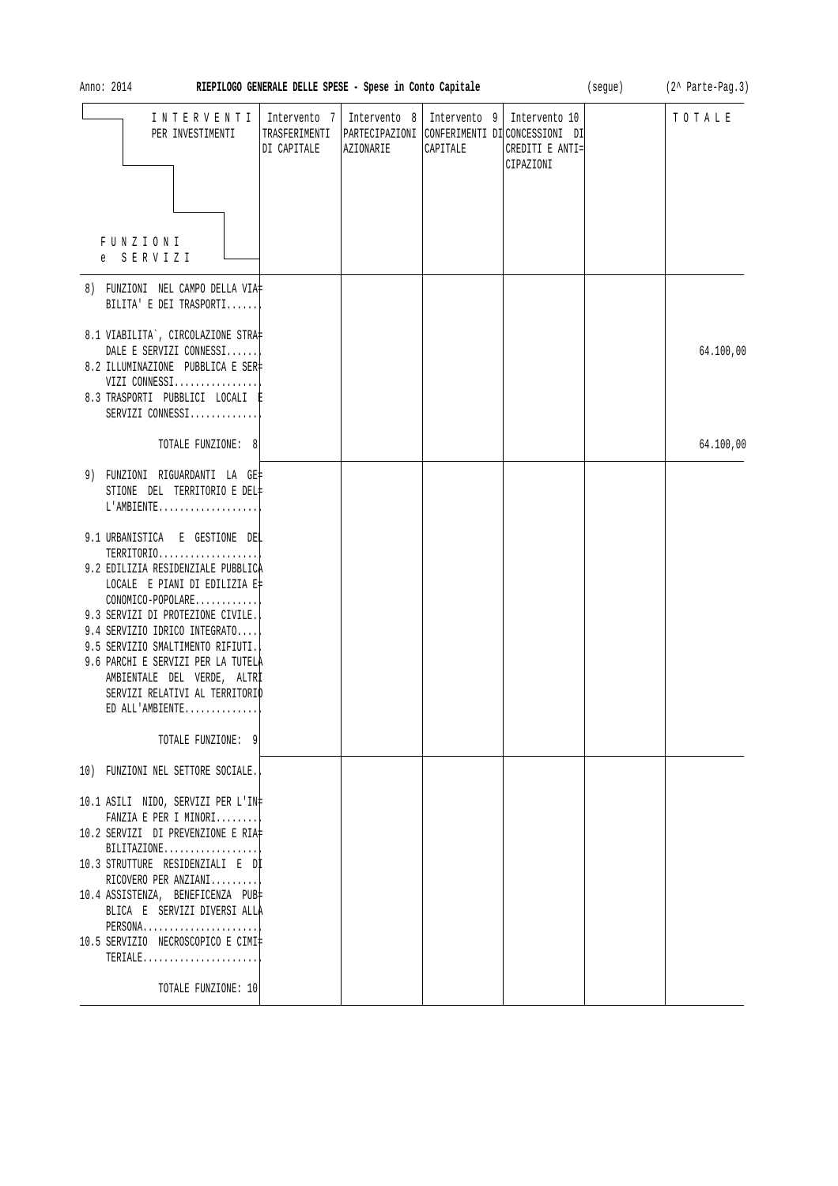| Anno: 2014<br>RIEPILOGO GENERALE DELLE SPESE - Spese in Conto Capitale                                                                                                                                                                                                                                             |                                              |           |                                           |                                                                                                | (segue) | (2^ Parte-Pag.3) |
|--------------------------------------------------------------------------------------------------------------------------------------------------------------------------------------------------------------------------------------------------------------------------------------------------------------------|----------------------------------------------|-----------|-------------------------------------------|------------------------------------------------------------------------------------------------|---------|------------------|
| INTERVENTI<br>PER INVESTIMENTI                                                                                                                                                                                                                                                                                     | Intervento 7<br>TRASFERIMENTI<br>DI CAPITALE | AZIONARIE | Intervento 8   Intervento 9  <br>CAPITALE | Intervento 10<br>PARTECIPAZIONI CONFERIMENTI DI CONCESSIONI DI<br>CREDITI E ANTI=<br>CIPAZIONI |         | TOTALE           |
| FUNZIONI<br>e SERVIZI                                                                                                                                                                                                                                                                                              |                                              |           |                                           |                                                                                                |         |                  |
| 8) FUNZIONI NEL CAMPO DELLA VIA‡<br>BILITA' E DEI TRASPORTI                                                                                                                                                                                                                                                        |                                              |           |                                           |                                                                                                |         |                  |
| 8.1 VIABILITA`, CIRCOLAZIONE STRA‡<br>DALE E SERVIZI CONNESSI<br>8.2 ILLUMINAZIONE PUBBLICA E SER<br>VIZI CONNESSI<br>8.3 TRASPORTI PUBBLICI LOCALI E<br>SERVIZI CONNESSI                                                                                                                                          |                                              |           |                                           |                                                                                                |         | 64.100,00        |
| TOTALE FUNZIONE: 8                                                                                                                                                                                                                                                                                                 |                                              |           |                                           |                                                                                                |         | 64.100,00        |
| 9) FUNZIONI RIGUARDANTI LA GE‡<br>STIONE DEL TERRITORIO E DEL‡<br>L'AMBIENTE                                                                                                                                                                                                                                       |                                              |           |                                           |                                                                                                |         |                  |
| 9.1 URBANISTICA E GESTIONE DEL<br>TERRITORIO<br>9.2 EDILIZIA RESIDENZIALE PUBBLICA<br>LOCALE E PIANI DI EDILIZIA E‡<br>CONOMICO-POPOLARE                                                                                                                                                                           |                                              |           |                                           |                                                                                                |         |                  |
| 9.3 SERVIZI DI PROTEZIONE CIVILE.<br>9.4 SERVIZIO IDRICO INTEGRATO<br>9.5 SERVIZIO SMALTIMENTO RIFIUTI.<br>9.6 PARCHI E SERVIZI PER LA TUTELA<br>AMBIENTALE DEL VERDE, ALTRI<br>SERVIZI RELATIVI AL TERRITORIO<br>ED ALL'AMBIENTE                                                                                  |                                              |           |                                           |                                                                                                |         |                  |
| TOTALE FUNZIONE: 9                                                                                                                                                                                                                                                                                                 |                                              |           |                                           |                                                                                                |         |                  |
| 10) FUNZIONI NEL SETTORE SOCIALE.                                                                                                                                                                                                                                                                                  |                                              |           |                                           |                                                                                                |         |                  |
| 10.1 ASILI NIDO, SERVIZI PER L'IN‡<br>FANZIA E PER I MINORI<br>10.2 SERVIZI DI PREVENZIONE E RIA‡<br>$BILITAZIONE$<br>10.3 STRUTTURE RESIDENZIALI E DI<br>RICOVERO PER ANZIANI <br>10.4 ASSISTENZA, BENEFICENZA PUB‡<br>BLICA E SERVIZI DIVERSI ALLA<br>$PERSONA$<br>10.5 SERVIZIO NECROSCOPICO E CIMI‡<br>TERIALE |                                              |           |                                           |                                                                                                |         |                  |
| TOTALE FUNZIONE: 10                                                                                                                                                                                                                                                                                                |                                              |           |                                           |                                                                                                |         |                  |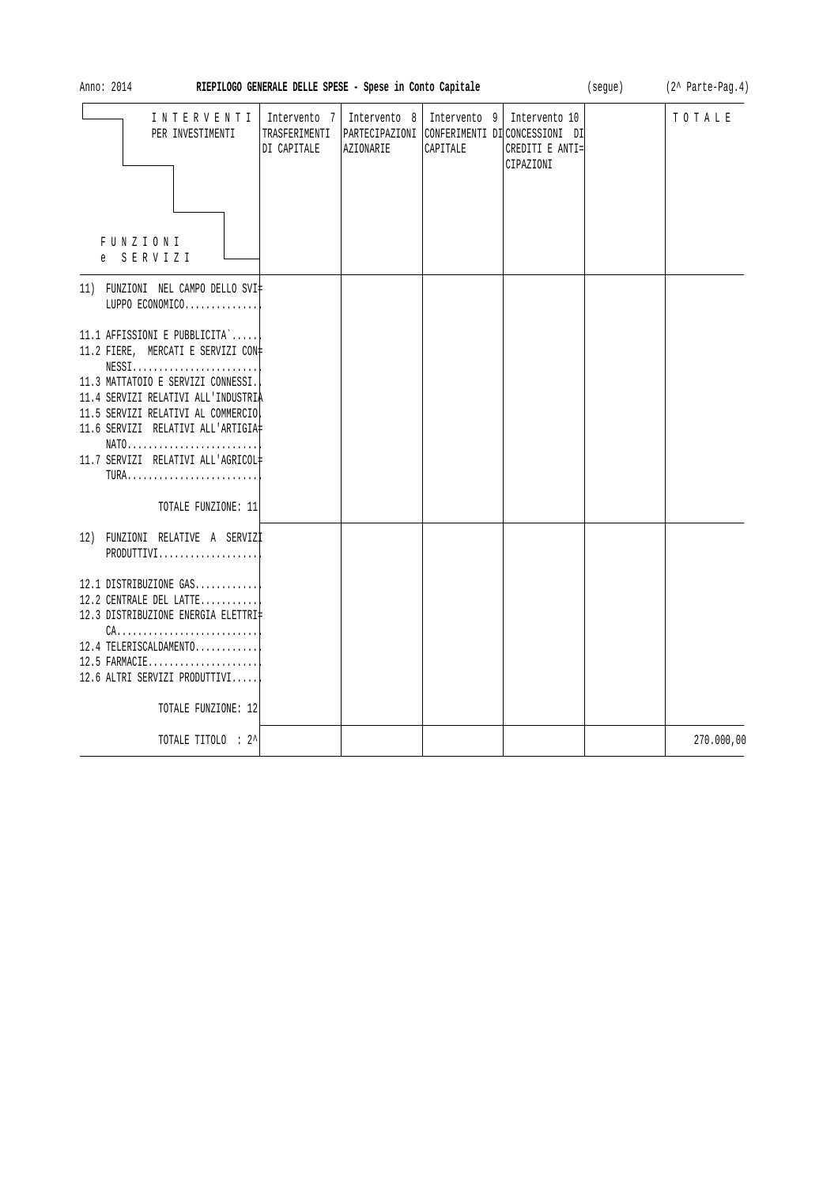| Anno: 2014<br>RIEPILOGO GENERALE DELLE SPESE - Spese in Conto Capitale                                                                                                                                                                                                                          |                                              |           |                                                                                                          |                              | (segue) | (2^ Parte-Pag.4) |
|-------------------------------------------------------------------------------------------------------------------------------------------------------------------------------------------------------------------------------------------------------------------------------------------------|----------------------------------------------|-----------|----------------------------------------------------------------------------------------------------------|------------------------------|---------|------------------|
| INTERVENTI<br>PER INVESTIMENTI<br><b>FUNZIONI</b><br>e SERVIZI                                                                                                                                                                                                                                  | Intervento 7<br>TRASFERIMENTI<br>DI CAPITALE | AZIONARIE | Intervento 8   Intervento 9   Intervento 10<br>PARTECIPAZIONI CONFERIMENTI DI CONCESSIONI DI<br>CAPITALE | CREDITI E ANTI=<br>CIPAZIONI |         | TOTALE           |
| 11) FUNZIONI NEL CAMPO DELLO SVI‡<br>LUPPO ECONOMICO                                                                                                                                                                                                                                            |                                              |           |                                                                                                          |                              |         |                  |
| 11.1 AFFISSIONI E PUBBLICITA`<br>11.2 FIERE, MERCATI E SERVIZI CON+<br>$NESS1$<br>11.3 MATTATOIO E SERVIZI CONNESSI.<br>11.4 SERVIZI RELATIVI ALL'INDUSTRIA<br>11.5 SERVIZI RELATIVI AL COMMERCIO<br>11.6 SERVIZI RELATIVI ALL'ARTIGIA#<br>$NATO$<br>11.7 SERVIZI RELATIVI ALL'AGRICOL#<br>TURA |                                              |           |                                                                                                          |                              |         |                  |
| TOTALE FUNZIONE: 11                                                                                                                                                                                                                                                                             |                                              |           |                                                                                                          |                              |         |                  |
| 12) FUNZIONI RELATIVE A SERVIZI<br>PRODUTTIVI                                                                                                                                                                                                                                                   |                                              |           |                                                                                                          |                              |         |                  |
| 12.1 DISTRIBUZIONE GAS<br>12.2 CENTRALE DEL LATTE<br>12.3 DISTRIBUZIONE ENERGIA ELETTRI‡<br>$CA.$<br>12.4 TELERISCALDAMENTO<br>$12.5$ FARMACIE<br>12.6 ALTRI SERVIZI PRODUTTIVI<br>TOTALE FUNZIONE: 12                                                                                          |                                              |           |                                                                                                          |                              |         |                  |
| TOTALE TITOLO : 2^                                                                                                                                                                                                                                                                              |                                              |           |                                                                                                          |                              |         | 270.000,00       |